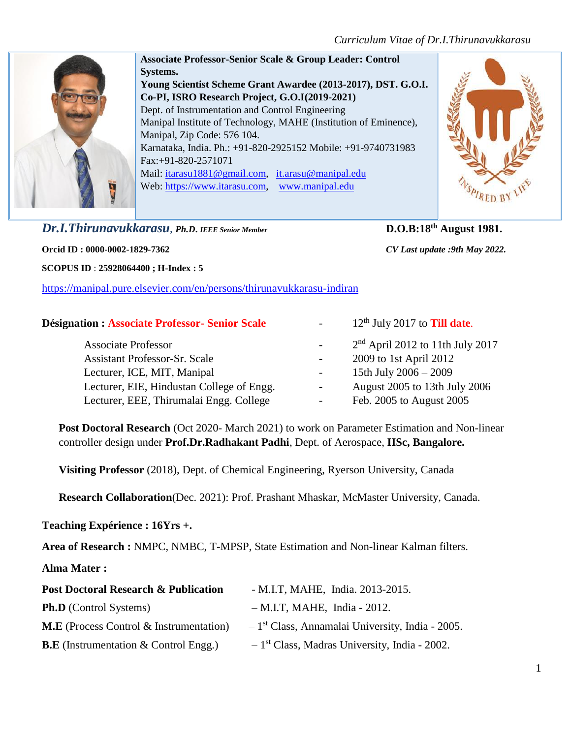

**Associate Professor-Senior Scale & Group Leader: Control Systems. Young Scientist Scheme Grant Awardee (2013-2017), DST. G.O.I. Co-PI, ISRO Research Project, G.O.I(2019-2021)** Dept. of Instrumentation and Control Engineering Manipal Institute of Technology, MAHE (Institution of Eminence), Manipal, Zip Code: 576 104. Karnataka, India. Ph.: +91-820-2925152 Mobile: +91-9740731983 Fax:+91-820-2571071 Mail: [itarasu1881@gmail.com,](mailto:itarasu1881@gmail.com) [it.arasu@manipal.edu](mailto:it.arasu@manipal.edu) Web: [https://www.itarasu.com,](https://www.itarasu.com/) [www.manipal.edu](http://www.manipal.edu/)

# *Dr.I.Thirunavukkarasu*, *Ph.D***.** *IEEE Senior Member* **D.O.B:18th August 1981.**

**Orcid ID : 0000-0002-1829-7362** *CV Last update :9th May 2022.*

**SCOPUS ID** : **25928064400 ; H-Index : 5**

<https://manipal.pure.elsevier.com/en/persons/thirunavukkarasu-indiran>

### **Désignation : Associate Professor- Senior Scale** - 12<sup>th</sup> July 2017 to **Till date**

PIRED B

| ighation: Associate Froiessor- Semor Scale |                          | $12$ July 2017 to <b>THI Gate.</b> |
|--------------------------------------------|--------------------------|------------------------------------|
| <b>Associate Professor</b>                 | $\sim$                   | $2nd$ April 2012 to 11th July 2017 |
| <b>Assistant Professor-Sr. Scale</b>       | $\overline{\phantom{a}}$ | 2009 to 1st April 2012             |
| Lecturer, ICE, MIT, Manipal                | $\sim$                   | 15th July $2006 - 2009$            |
| Lecturer, EIE, Hindustan College of Engg.  | $\sim$                   | August 2005 to 13th July 2006      |
| Lecturer, EEE, Thirumalai Engg. College    | -                        | Feb. 2005 to August 2005           |

**Post Doctoral Research** (Oct 2020- March 2021) to work on Parameter Estimation and Non-linear controller design under **Prof.Dr.Radhakant Padhi**, Dept. of Aerospace, **IISc, Bangalore.** 

 **Visiting Professor** (2018), Dept. of Chemical Engineering, Ryerson University, Canada

**Research Collaboration**(Dec. 2021): Prof. Prashant Mhaskar, McMaster University, Canada.

#### **Teaching Expérience : 16Yrs +.**

**Area of Research :** NMPC, NMBC, T-MPSP, State Estimation and Non-linear Kalman filters.

#### **Alma Mater :**

| <b>Post Doctoral Research &amp; Publication</b> | - M.I.T, MAHE, India. 2013-2015.                              |
|-------------------------------------------------|---------------------------------------------------------------|
| <b>Ph.D</b> (Control Systems)                   | $-M.I.T, MAHE, India - 2012.$                                 |
| <b>M.E</b> (Process Control & Instrumentation)  | $-1$ <sup>st</sup> Class, Annamalai University, India - 2005. |
| <b>B.E</b> (Instrumentation $\&$ Control Engg.) | $-1st Class, Madras University, India - 2002.$                |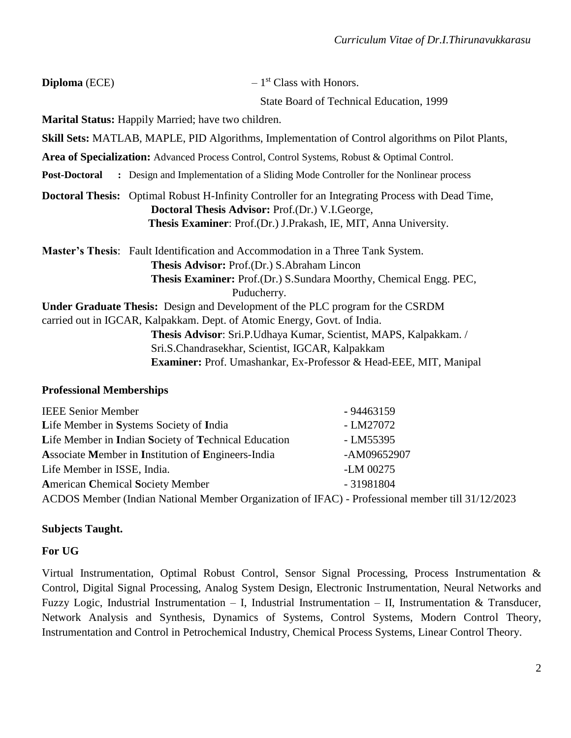| Diploma (ECE) | $-1st Class with Honors.$                                                                                                                                                                                                             |
|---------------|---------------------------------------------------------------------------------------------------------------------------------------------------------------------------------------------------------------------------------------|
|               | State Board of Technical Education, 1999                                                                                                                                                                                              |
|               | <b>Marital Status:</b> Happily Married; have two children.                                                                                                                                                                            |
|               | <b>Skill Sets:</b> MATLAB, MAPLE, PID Algorithms, Implementation of Control algorithms on Pilot Plants,                                                                                                                               |
|               | Area of Specialization: Advanced Process Control, Control Systems, Robust & Optimal Control.                                                                                                                                          |
|               | <b>Post-Doctoral :</b> Design and Implementation of a Sliding Mode Controller for the Nonlinear process                                                                                                                               |
|               | <b>Doctoral Thesis:</b> Optimal Robust H-Infinity Controller for an Integrating Process with Dead Time,<br><b>Doctoral Thesis Advisor: Prof.(Dr.) V.I.George,</b><br>Thesis Examiner: Prof.(Dr.) J.Prakash, IE, MIT, Anna University. |
|               | <b>Master's Thesis:</b> Fault Identification and Accommodation in a Three Tank System.<br>Thesis Advisor: Prof.(Dr.) S.Abraham Lincon<br><b>Thesis Examiner:</b> Prof.(Dr.) S.Sundara Moorthy, Chemical Engg. PEC,<br>Puducherry.     |
|               | <b>Under Graduate Thesis:</b> Design and Development of the PLC program for the CSRDM<br>carried out in IGCAR, Kalpakkam. Dept. of Atomic Energy, Govt. of India.                                                                     |
|               | Thesis Advisor: Sri.P.Udhaya Kumar, Scientist, MAPS, Kalpakkam. /<br>Sri.S.Chandrasekhar, Scientist, IGCAR, Kalpakkam<br><b>Examiner:</b> Prof. Umashankar, Ex-Professor & Head-EEE, MIT, Manipal                                     |

#### **Professional Memberships**

| <b>IEEE Senior Member</b>                                                                        | $-94463159$ |
|--------------------------------------------------------------------------------------------------|-------------|
| Life Member in Systems Society of India                                                          | - LM27072   |
| Life Member in Indian Society of Technical Education                                             | - LM55395   |
| Associate Member in Institution of Engineers-India                                               | -AM09652907 |
| Life Member in ISSE, India.                                                                      | -LM 00275   |
| <b>American Chemical Society Member</b>                                                          | $-31981804$ |
| ACDOS Member (Indian National Member Organization of IFAC) - Professional member till 31/12/2023 |             |

#### **Subjects Taught.**

#### **For UG**

Virtual Instrumentation, Optimal Robust Control, Sensor Signal Processing, Process Instrumentation & Control, Digital Signal Processing, Analog System Design, Electronic Instrumentation, Neural Networks and Fuzzy Logic, Industrial Instrumentation – I, Industrial Instrumentation – II, Instrumentation & Transducer, Network Analysis and Synthesis, Dynamics of Systems, Control Systems, Modern Control Theory, Instrumentation and Control in Petrochemical Industry, Chemical Process Systems, Linear Control Theory.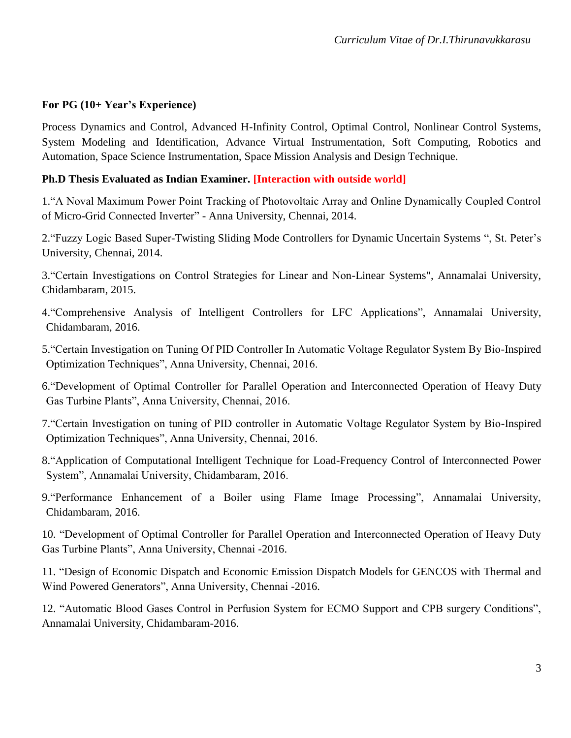#### **For PG (10+ Year's Experience)**

Process Dynamics and Control, Advanced H-Infinity Control, Optimal Control, Nonlinear Control Systems, System Modeling and Identification, Advance Virtual Instrumentation, Soft Computing, Robotics and Automation, Space Science Instrumentation, Space Mission Analysis and Design Technique.

#### **Ph.D Thesis Evaluated as Indian Examiner. [Interaction with outside world]**

1."A Noval Maximum Power Point Tracking of Photovoltaic Array and Online Dynamically Coupled Control of Micro-Grid Connected Inverter" - Anna University, Chennai, 2014.

2."Fuzzy Logic Based Super-Twisting Sliding Mode Controllers for Dynamic Uncertain Systems ", St. Peter's University, Chennai, 2014.

3."Certain Investigations on Control Strategies for Linear and Non-Linear Systems", Annamalai University, Chidambaram, 2015.

4."Comprehensive Analysis of Intelligent Controllers for LFC Applications", Annamalai University, Chidambaram, 2016.

- 5."Certain Investigation on Tuning Of PID Controller In Automatic Voltage Regulator System By Bio-Inspired Optimization Techniques", Anna University, Chennai, 2016.
- 6."Development of Optimal Controller for Parallel Operation and Interconnected Operation of Heavy Duty Gas Turbine Plants", Anna University, Chennai, 2016.
- 7."Certain Investigation on tuning of PID controller in Automatic Voltage Regulator System by Bio-Inspired Optimization Techniques", Anna University, Chennai, 2016.
- 8."Application of Computational Intelligent Technique for Load-Frequency Control of Interconnected Power System", Annamalai University, Chidambaram, 2016.
- 9."Performance Enhancement of a Boiler using Flame Image Processing", Annamalai University, Chidambaram, 2016.

10. "Development of Optimal Controller for Parallel Operation and Interconnected Operation of Heavy Duty Gas Turbine Plants", Anna University, Chennai -2016.

11. "Design of Economic Dispatch and Economic Emission Dispatch Models for GENCOS with Thermal and Wind Powered Generators", Anna University, Chennai -2016.

12. "Automatic Blood Gases Control in Perfusion System for ECMO Support and CPB surgery Conditions", Annamalai University, Chidambaram-2016.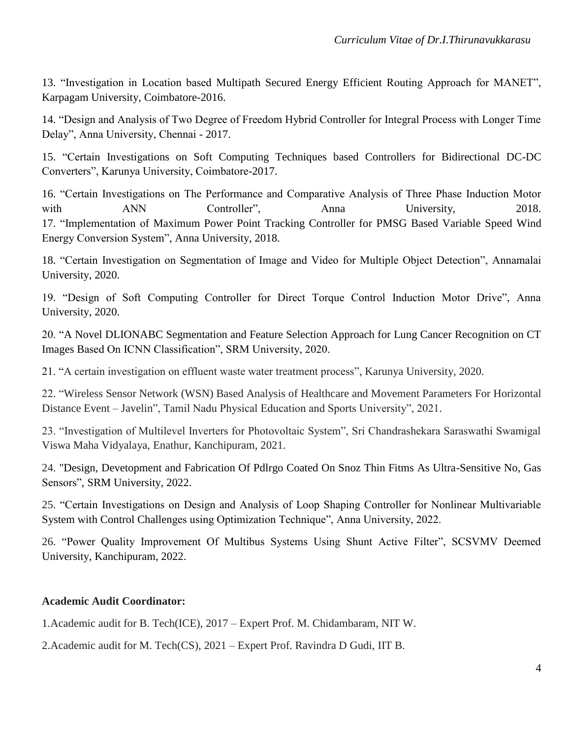13. "Investigation in Location based Multipath Secured Energy Efficient Routing Approach for MANET", Karpagam University, Coimbatore-2016.

14. "Design and Analysis of Two Degree of Freedom Hybrid Controller for Integral Process with Longer Time Delay", Anna University, Chennai - 2017.

15. "Certain Investigations on Soft Computing Techniques based Controllers for Bidirectional DC-DC Converters", Karunya University, Coimbatore-2017.

16. "Certain Investigations on The Performance and Comparative Analysis of Three Phase Induction Motor with ANN Controller", Anna University, 2018. 17. "Implementation of Maximum Power Point Tracking Controller for PMSG Based Variable Speed Wind Energy Conversion System", Anna University, 2018.

18. "Certain Investigation on Segmentation of Image and Video for Multiple Object Detection", Annamalai University, 2020.

19. "Design of Soft Computing Controller for Direct Torque Control Induction Motor Drive", Anna University, 2020.

20. "A Novel DLIONABC Segmentation and Feature Selection Approach for Lung Cancer Recognition on CT Images Based On ICNN Classification", SRM University, 2020.

21. "A certain investigation on effluent waste water treatment process", Karunya University, 2020.

22. "Wireless Sensor Network (WSN) Based Analysis of Healthcare and Movement Parameters For Horizontal Distance Event – Javelin", Tamil Nadu Physical Education and Sports University", 2021.

23. "Investigation of Multilevel Inverters for Photovoltaic System", Sri Chandrashekara Saraswathi Swamigal Viswa Maha Vidyalaya, Enathur, Kanchipuram, 2021.

24. "Design, Devetopment and Fabrication Of Pdlrgo Coated On Snoz Thin Fitms As Ultra-Sensitive No, Gas Sensors", SRM University, 2022.

25. "Certain Investigations on Design and Analysis of Loop Shaping Controller for Nonlinear Multivariable System with Control Challenges using Optimization Technique", Anna University, 2022.

26. "Power Quality Improvement Of Multibus Systems Using Shunt Active Filter", SCSVMV Deemed University, Kanchipuram, 2022.

#### **Academic Audit Coordinator:**

1.Academic audit for B. Tech(ICE), 2017 – Expert Prof. M. Chidambaram, NIT W.

2.Academic audit for M. Tech(CS), 2021 – Expert Prof. Ravindra D Gudi, IIT B.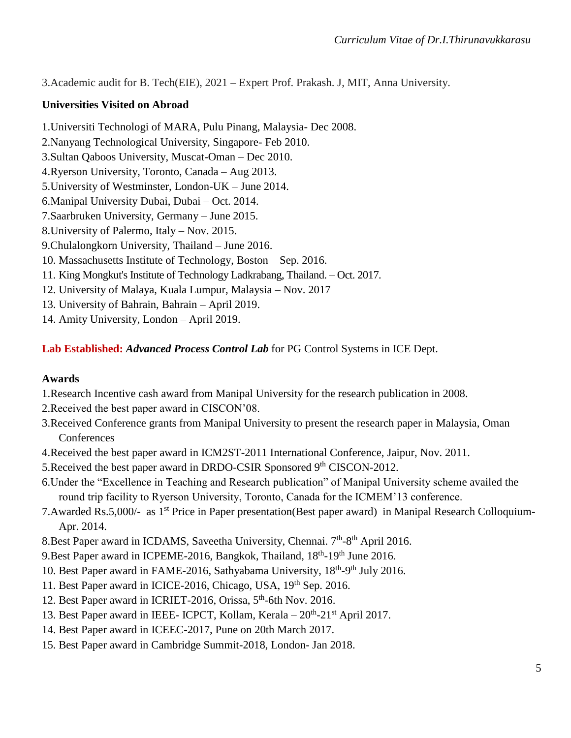3.Academic audit for B. Tech(EIE), 2021 – Expert Prof. Prakash. J, MIT, Anna University.

### **Universities Visited on Abroad**

1.Universiti Technologi of MARA, Pulu Pinang, Malaysia- Dec 2008. 2.Nanyang Technological University, Singapore- Feb 2010. 3.Sultan Qaboos University, Muscat-Oman – Dec 2010. 4.Ryerson University, Toronto, Canada – Aug 2013. 5.University of Westminster, London-UK – June 2014. 6.Manipal University Dubai, Dubai – Oct. 2014. 7.Saarbruken University, Germany – June 2015. 8.University of Palermo, Italy – Nov. 2015. 9.Chulalongkorn University, Thailand – June 2016. 10. Massachusetts Institute of Technology, Boston – Sep. 2016.

- 11. King Mongkut's Institute of Technology Ladkrabang, Thailand. Oct. 2017.
- 12. University of Malaya, Kuala Lumpur, Malaysia Nov. 2017
- 13. University of Bahrain, Bahrain April 2019.

14. Amity University, London – April 2019.

**Lab Established:** *Advanced Process Control Lab* for PG Control Systems in ICE Dept.

#### **Awards**

- 1.Research Incentive cash award from Manipal University for the research publication in 2008.
- 2.Received the best paper award in CISCON'08.
- 3.Received Conference grants from Manipal University to present the research paper in Malaysia, Oman **Conferences**
- 4.Received the best paper award in ICM2ST-2011 International Conference, Jaipur, Nov. 2011.
- 5. Received the best paper award in DRDO-CSIR Sponsored 9<sup>th</sup> CISCON-2012.
- 6.Under the "Excellence in Teaching and Research publication" of Manipal University scheme availed the round trip facility to Ryerson University, Toronto, Canada for the ICMEM'13 conference.
- 7. Awarded Rs. 5,000/- as 1<sup>st</sup> Price in Paper presentation(Best paper award) in Manipal Research Colloquium-Apr. 2014.
- 8. Best Paper award in ICDAMS, Saveetha University, Chennai.  $7<sup>th</sup>$ -8<sup>th</sup> April 2016.
- 9. Best Paper award in ICPEME-2016, Bangkok, Thailand, 18<sup>th</sup>-19<sup>th</sup> June 2016.
- 10. Best Paper award in FAME-2016, Sathyabama University, 18<sup>th</sup>-9<sup>th</sup> July 2016.
- 11. Best Paper award in ICICE-2016, Chicago, USA, 19<sup>th</sup> Sep. 2016.
- 12. Best Paper award in ICRIET-2016, Orissa, 5<sup>th</sup>-6th Nov. 2016.
- 13. Best Paper award in IEEE- ICPCT, Kollam, Kerala 20<sup>th</sup>-21<sup>st</sup> April 2017.
- 14. Best Paper award in ICEEC-2017, Pune on 20th March 2017.
- 15. Best Paper award in Cambridge Summit-2018, London- Jan 2018.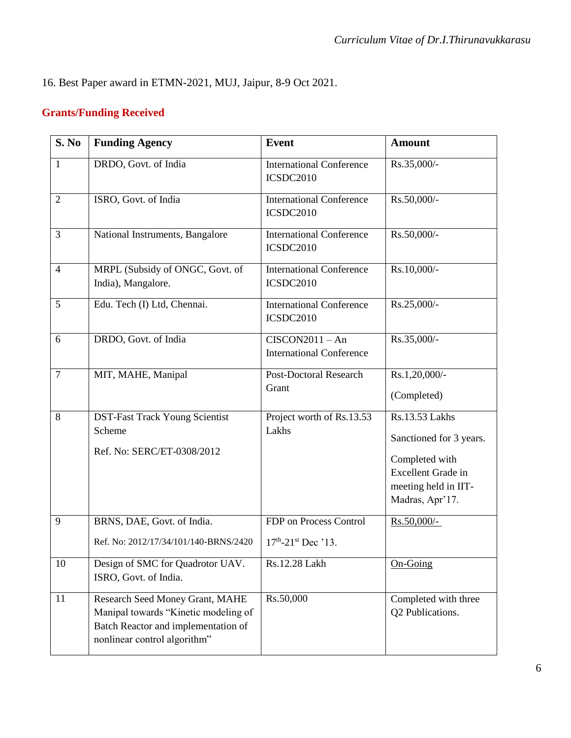16. Best Paper award in ETMN-2021, MUJ, Jaipur, 8-9 Oct 2021.

# **Grants/Funding Received**

| S. No          | <b>Funding Agency</b>                                                                                                                          | <b>Event</b>                                         | <b>Amount</b>                                                                                                                |
|----------------|------------------------------------------------------------------------------------------------------------------------------------------------|------------------------------------------------------|------------------------------------------------------------------------------------------------------------------------------|
| $\mathbf{1}$   | DRDO, Govt. of India                                                                                                                           | <b>International Conference</b><br>ICSDC2010         | Rs.35,000/-                                                                                                                  |
| $\overline{2}$ | ISRO, Govt. of India                                                                                                                           | <b>International Conference</b><br>ICSDC2010         | Rs.50,000/-                                                                                                                  |
| 3              | National Instruments, Bangalore                                                                                                                | <b>International Conference</b><br>ICSDC2010         | Rs.50,000/-                                                                                                                  |
| $\overline{4}$ | MRPL (Subsidy of ONGC, Govt. of<br>India), Mangalore.                                                                                          | <b>International Conference</b><br>ICSDC2010         | Rs.10,000/-                                                                                                                  |
| 5              | Edu. Tech (I) Ltd, Chennai.                                                                                                                    | <b>International Conference</b><br>ICSDC2010         | Rs.25,000/-                                                                                                                  |
| 6              | DRDO, Govt. of India                                                                                                                           | $CISCON2011 - An$<br><b>International Conference</b> | Rs.35,000/-                                                                                                                  |
| $\overline{7}$ | MIT, MAHE, Manipal                                                                                                                             | <b>Post-Doctoral Research</b><br>Grant               | Rs.1,20,000/-<br>(Completed)                                                                                                 |
| 8              | DST-Fast Track Young Scientist<br>Scheme<br>Ref. No: SERC/ET-0308/2012                                                                         | Project worth of Rs.13.53<br>Lakhs                   | Rs.13.53 Lakhs<br>Sanctioned for 3 years.<br>Completed with<br>Excellent Grade in<br>meeting held in IIT-<br>Madras, Apr'17. |
| 9              | BRNS, DAE, Govt. of India.<br>Ref. No: 2012/17/34/101/140-BRNS/2420                                                                            | FDP on Process Control<br>$17th - 21st$ Dec '13.     | Rs.50,000/-                                                                                                                  |
| 10             | Design of SMC for Quadrotor UAV.<br>ISRO, Govt. of India.                                                                                      | Rs.12.28 Lakh                                        | $On-Going$                                                                                                                   |
| 11             | Research Seed Money Grant, MAHE<br>Manipal towards "Kinetic modeling of<br>Batch Reactor and implementation of<br>nonlinear control algorithm" | Rs.50,000                                            | Completed with three<br>Q2 Publications.                                                                                     |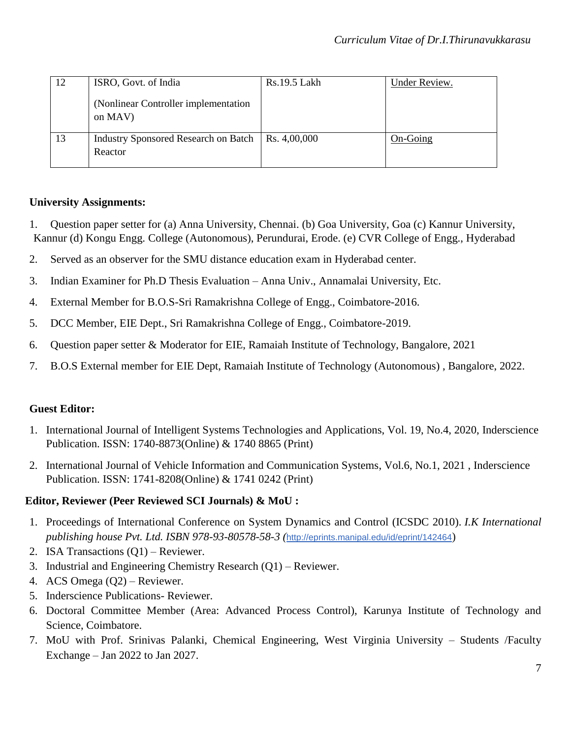| 12 | ISRO, Govt. of India                                           | Rs.19.5 Lakh | Under Review. |
|----|----------------------------------------------------------------|--------------|---------------|
|    | (Nonlinear Controller implementation<br>on MAV)                |              |               |
| 13 | Industry Sponsored Research on Batch   Rs. 4,00,000<br>Reactor |              | On-Going      |

### **University Assignments:**

- 1. Question paper setter for (a) Anna University, Chennai. (b) Goa University, Goa (c) Kannur University, Kannur (d) Kongu Engg. College (Autonomous), Perundurai, Erode. (e) CVR College of Engg., Hyderabad
- 2. Served as an observer for the SMU distance education exam in Hyderabad center.
- 3. Indian Examiner for Ph.D Thesis Evaluation Anna Univ., Annamalai University, Etc.
- 4. External Member for B.O.S-Sri Ramakrishna College of Engg., Coimbatore-2016.
- 5. DCC Member, EIE Dept., Sri Ramakrishna College of Engg., Coimbatore-2019.
- 6. Question paper setter & Moderator for EIE, Ramaiah Institute of Technology, Bangalore, 2021
- 7. B.O.S External member for EIE Dept, Ramaiah Institute of Technology (Autonomous) , Bangalore, 2022.

## **Guest Editor:**

- 1. International Journal of Intelligent Systems Technologies and Applications, Vol. 19, No.4, 2020, Inderscience Publication. ISSN: 1740-8873(Online) & 1740 8865 (Print)
- 2. International Journal of Vehicle Information and Communication Systems, Vol.6, No.1, 2021 , Inderscience Publication. ISSN: 1741-8208(Online) & 1741 0242 (Print)

## **Editor, Reviewer (Peer Reviewed SCI Journals) & MoU :**

- 1. Proceedings of International Conference on System Dynamics and Control (ICSDC 2010). *I.K International publishing house Pvt. Ltd. ISBN 978-93-80578-58-3 (*<http://eprints.manipal.edu/id/eprint/142464>)
- 2. ISA Transactions (Q1) Reviewer.
- 3. Industrial and Engineering Chemistry Research (Q1) Reviewer.
- 4. ACS Omega (Q2) Reviewer.
- 5. Inderscience Publications- Reviewer.
- 6. Doctoral Committee Member (Area: Advanced Process Control), Karunya Institute of Technology and Science, Coimbatore.
- 7. MoU with Prof. Srinivas Palanki, Chemical Engineering, West Virginia University Students /Faculty Exchange – Jan 2022 to Jan 2027.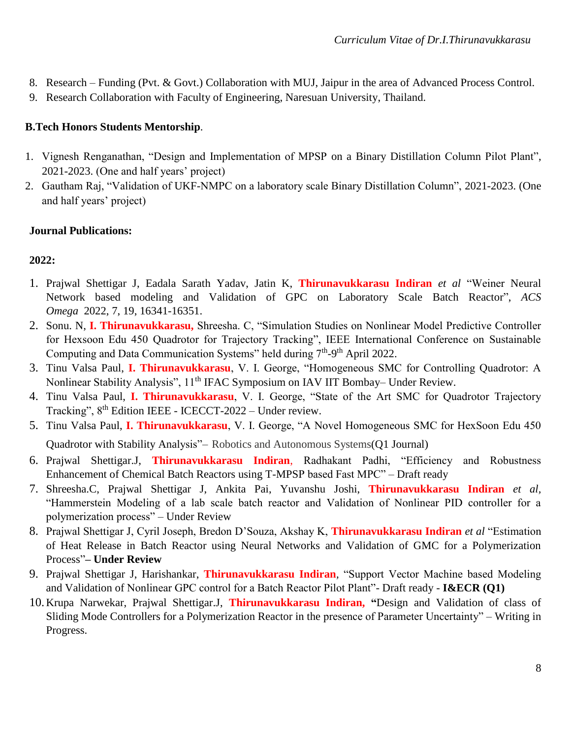- 8. Research Funding (Pvt. & Govt.) Collaboration with MUJ, Jaipur in the area of Advanced Process Control.
- 9. Research Collaboration with Faculty of Engineering, Naresuan University, Thailand.

## **B.Tech Honors Students Mentorship***.*

- 1. Vignesh Renganathan, "Design and Implementation of MPSP on a Binary Distillation Column Pilot Plant", 2021-2023. (One and half years' project)
- 2. Gautham Raj, "Validation of UKF-NMPC on a laboratory scale Binary Distillation Column", 2021-2023. (One and half years' project)

### **Journal Publications:**

## **2022:**

- 1. Prajwal Shettigar J, Eadala Sarath Yadav, Jatin K, **Thirunavukkarasu Indiran** *et al* "Weiner Neural Network based modeling and Validation of GPC on Laboratory Scale Batch Reactor", *ACS Omega* 2022, 7, 19, 16341-16351.
- 2. Sonu. N, **I. Thirunavukkarasu,** Shreesha. C, "Simulation Studies on Nonlinear Model Predictive Controller for Hexsoon Edu 450 Quadrotor for Trajectory Tracking", IEEE International Conference on Sustainable Computing and Data Communication Systems" held during  $7<sup>th</sup>-9<sup>th</sup>$  April 2022.
- 3. Tinu Valsa Paul, **I. Thirunavukkarasu**, V. I. George, "Homogeneous SMC for Controlling Quadrotor: A Nonlinear Stability Analysis", 11<sup>th</sup> IFAC Symposium on IAV IIT Bombay– Under Review.
- 4. Tinu Valsa Paul, **I. Thirunavukkarasu**, V. I. George, "State of the Art SMC for Quadrotor Trajectory Tracking", 8th Edition IEEE - ICECCT-2022 – Under review.
- 5. Tinu Valsa Paul, **I. Thirunavukkarasu**, V. I. George, "A Novel Homogeneous SMC for HexSoon Edu 450 Quadrotor with Stability Analysis"– Robotics and Autonomous Systems(Q1 Journal)
- 6. Prajwal Shettigar.J, **Thirunavukkarasu Indiran**, Radhakant Padhi, "Efficiency and Robustness Enhancement of Chemical Batch Reactors using T-MPSP based Fast MPC" – Draft ready
- 7. Shreesha.C, Prajwal Shettigar J, Ankita Pai, Yuvanshu Joshi, **Thirunavukkarasu Indiran** *et al,* "Hammerstein Modeling of a lab scale batch reactor and Validation of Nonlinear PID controller for a polymerization process" – Under Review
- 8. Prajwal Shettigar J, Cyril Joseph, Bredon D'Souza, Akshay K, **Thirunavukkarasu Indiran** *et al* "Estimation of Heat Release in Batch Reactor using Neural Networks and Validation of GMC for a Polymerization Process"**– Under Review**
- 9. Prajwal Shettigar J, Harishankar, **Thirunavukkarasu Indiran***,* "Support Vector Machine based Modeling and Validation of Nonlinear GPC control for a Batch Reactor Pilot Plant"- Draft ready - **I&ECR (Q1)**
- 10. Krupa Narwekar, Prajwal Shettigar.J, **Thirunavukkarasu Indiran, "**Design and Validation of class of Sliding Mode Controllers for a Polymerization Reactor in the presence of Parameter Uncertainty" – Writing in Progress.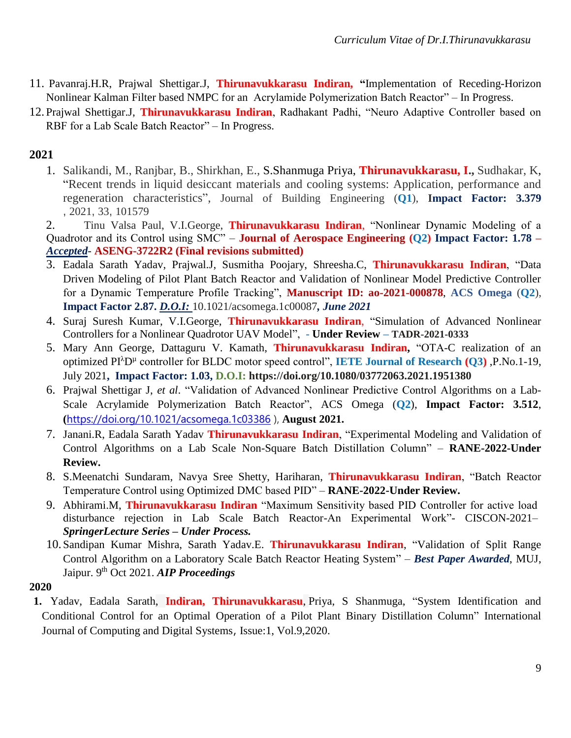- 11. Pavanraj.H.R, Prajwal Shettigar.J, **Thirunavukkarasu Indiran, "**Implementation of Receding-Horizon Nonlinear Kalman Filter based NMPC for an Acrylamide Polymerization Batch Reactor" – In Progress.
- 12. Prajwal Shettigar.J, **Thirunavukkarasu Indiran**, Radhakant Padhi, "Neuro Adaptive Controller based on RBF for a Lab Scale Batch Reactor" – In Progress.

## **2021**

1. [Salikandi, M.,](https://www.scopus.com/authid/detail.uri?authorId=57217202798) [Ranjbar, B.,](https://www.scopus.com/authid/detail.uri?authorId=57217201430) [Shirkhan, E.,](https://www.scopus.com/authid/detail.uri?authorId=57217198049) S.Shanmuga Priya, **[Thirunavukkarasu, I.,](https://www.scopus.com/authid/detail.uri?authorId=25928064400)** [Sudhakar, K,](https://www.scopus.com/authid/detail.uri?authorId=57203257556) ["Recent trends in liquid desiccant materials and cooling systems: Application, performance and](https://www.scopus.com/record/display.uri?eid=2-s2.0-85086707762&origin=resultslist)  [regeneration characteristics"](https://www.scopus.com/record/display.uri?eid=2-s2.0-85086707762&origin=resultslist), Journal of Building Engineering (**Q1**), **Impact Factor: 3.379** , 2021, 33, 101579

2. Tinu Valsa Paul, V.I.George, **Thirunavukkarasu Indiran**, "Nonlinear Dynamic Modeling of a Quadrotor and its Control using SMC" – **Journal of Aerospace Engineering (Q2) Impact Factor: 1.78 –** *Accepted*- **ASENG-3722R2 (Final revisions submitted)**

- 3. Eadala Sarath Yadav, Prajwal.J, Susmitha Poojary, Shreesha.C, **Thirunavukkarasu Indiran**, "Data Driven Modeling of Pilot Plant Batch Reactor and Validation of Nonlinear Model Predictive Controller for a Dynamic Temperature Profile Tracking", **Manuscript ID: ao-2021-000878**, **ACS Omega** (**Q2**), **Impact Factor 2.87.** *D.O.I:* 10.1021/acsomega.1c00087*, June 2021*
- 4. Suraj Suresh Kumar, V.I.George, **Thirunavukkarasu Indiran**, "Simulation of Advanced Nonlinear Controllers for a Nonlinear Quadrotor UAV Model", **- Under Review – TADR-2021-0333**
- 5. Mary Ann George, Dattaguru V. Kamath, **Thirunavukkarasu Indiran,** "OTA-C realization of an optimized PI<sup>λ</sup>D µ controller for BLDC motor speed control", **IETE Journal of Research (Q3)** ,P.No.1-19, July 2021**, Impact Factor: 1.03, D.O.I: https://doi.org/10.1080/03772063.2021.1951380**
- 6. Prajwal Shettigar J, *et al*. "Validation of Advanced Nonlinear Predictive Control Algorithms on a Lab-Scale Acrylamide Polymerization Batch Reactor", ACS Omega (**Q2**), **Impact Factor: 3.512**, **(**<https://doi.org/10.1021/acsomega.1c03386> ), **August 2021.**
- 7. Janani.R, Eadala Sarath Yadav **Thirunavukkarasu Indiran**, "Experimental Modeling and Validation of Control Algorithms on a Lab Scale Non-Square Batch Distillation Column" – **RANE-2022-Under Review.**
- 8. S.Meenatchi Sundaram, Navya Sree Shetty, Hariharan, **Thirunavukkarasu Indiran**, "Batch Reactor Temperature Control using Optimized DMC based PID" – **RANE-2022-Under Review.**
- 9. Abhirami.M, **Thirunavukkarasu Indiran** "Maximum Sensitivity based PID Controller for active load disturbance rejection in Lab Scale Batch Reactor-An Experimental Work"- CISCON-2021– *SpringerLecture Series – Under Process.*
- 10. Sandipan Kumar Mishra, Sarath Yadav.E. **Thirunavukkarasu Indiran**, "Validation of Split Range Control Algorithm on a Laboratory Scale Batch Reactor Heating System" – *Best Paper Awarded*, MUJ, Jaipur. 9<sup>th</sup> Oct 2021. AIP Proceedings

#### **2020**

**1.** Yadav, Eadala Sarath, **Indiran, Thirunavukkarasu**, Priya, S Shanmuga, ["System Identification and](https://journal.uob.edu.bh/handle/123456789/3706)  [Conditional Control for an Optimal Operation of a Pilot Plant Binary Distillation Column"](https://journal.uob.edu.bh/handle/123456789/3706) [International](https://journal.uob.edu.bh/handle/123456789/12)  [Journal of Computing and Digital Systems](https://journal.uob.edu.bh/handle/123456789/12), Issue:1, Vol.9,2020.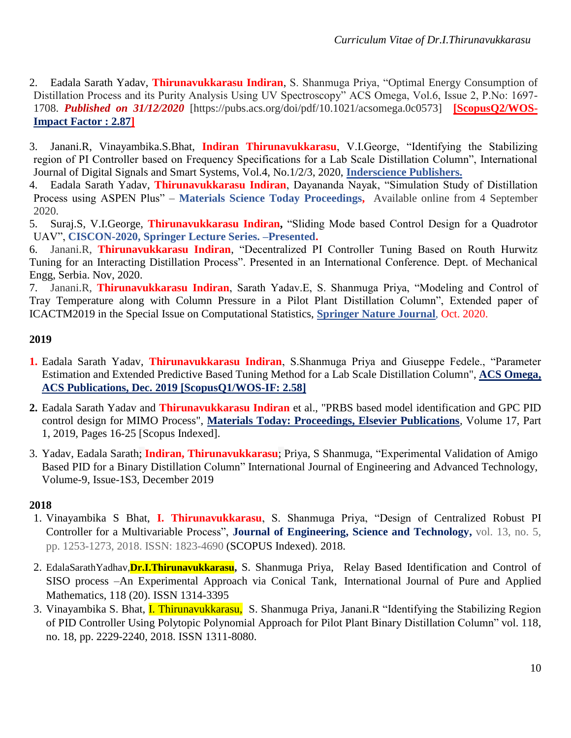- 2. Eadala Sarath Yadav, **Thirunavukkarasu Indiran**, S. Shanmuga Priya, "Optimal Energy Consumption of Distillation Process and its Purity Analysis Using UV Spectroscopy" ACS Omega, Vol.6, Issue 2, P.No: 1697- 1708. *Published on 31/12/2020* [https://pubs.acs.org/doi/pdf/10.1021/acsomega.0c0573] **[ScopusQ2/WOS-Impact Factor : 2.87]**
- 3. Janani.R, Vinayambika.S.Bhat, **Indiran Thirunavukkarasu**, V.I.George, "Identifying the Stabilizing region of PI Controller based on Frequency Specifications for a Lab Scale Distillation Column", International Journal of Digital Signals and Smart Systems, Vol.4, No.1/2/3, 2020, **Inderscience Publishers.**
- 4. Eadala Sarath Yadav, **Thirunavukkarasu Indiran**, Dayananda Nayak, "Simulation Study of Distillation Process using ASPEN Plus" – **Materials Science Today Proceedings,** Available online from 4 September 2020.
- 5. Suraj.S, V.I.George, **Thirunavukkarasu Indiran,** "Sliding Mode based Control Design for a Quadrotor UAV", **CISCON-2020, Springer Lecture Series. –Presented.**
- 6. Janani.R, **Thirunavukkarasu Indiran**, "Decentralized PI Controller Tuning Based on Routh Hurwitz Tuning for an Interacting Distillation Process". Presented in an International Conference. Dept. of Mechanical Engg, Serbia. Nov, 2020.

7. Janani.R, **Thirunavukkarasu Indiran**, Sarath Yadav.E, S. Shanmuga Priya, "Modeling and Control of Tray Temperature along with Column Pressure in a Pilot Plant Distillation Column", Extended paper of ICACTM2019 in the Special Issue on Computational Statistics, **Springer Nature Journal**, Oct. 2020.

#### **2019**

- **1.** Eadala Sarath Yadav, **Thirunavukkarasu Indiran**, S.Shanmuga Priya and Giuseppe Fedele., "Parameter Estimation and Extended Predictive Based Tuning Method for a Lab Scale Distillation Column", **ACS Omega, ACS Publications, Dec. 2019 [ScopusQ1/WOS-IF: 2.58]**
- **2.** Eadala Sarath Yadav and **Thirunavukkarasu Indiran** et al., "PRBS based model identification and GPC PID control design for MIMO Process", **Materials Today: Proceedings, Elsevier Publications**, Volume 17, Part 1, 2019, Pages 16-25 [Scopus Indexed].
- 3. Yadav, Eadala Sarath; **Indiran, Thirunavukkarasu**; Priya, S Shanmuga, "Experimental Validation of Amigo Based PID for a Binary Distillation Column" International Journal of Engineering and Advanced Technology, Volume-9, Issue-1S3, December 2019

#### **2018**

- 1. Vinayambika S Bhat, **I. Thirunavukkarasu**, S. Shanmuga Priya, "Design of Centralized Robust PI Controller for a Multivariable Process", **Journal of Engineering, Science and Technology,** vol. 13, no. 5, pp. 1253-1273, 2018. ISSN: 1823-4690 (SCOPUS Indexed). 2018.
- 2. EdalaSarathYadhav,**Dr.I.Thirunavukkarasu,** S. Shanmuga Priya, "Relay Based Identification and Control of SISO process –An Experimental Approach via Conical Tank, International Journal of Pure and Applied Mathematics, 118 (20). ISSN 1314-3395
- 3. Vinayambika S. Bhat, I. Thirunavukkarasu, S. Shanmuga Priya, Janani.R "Identifying the Stabilizing Region of PID Controller Using Polytopic Polynomial Approach for Pilot Plant Binary Distillation Column" vol. 118, no. 18, pp. 2229-2240, 2018. ISSN 1311-8080.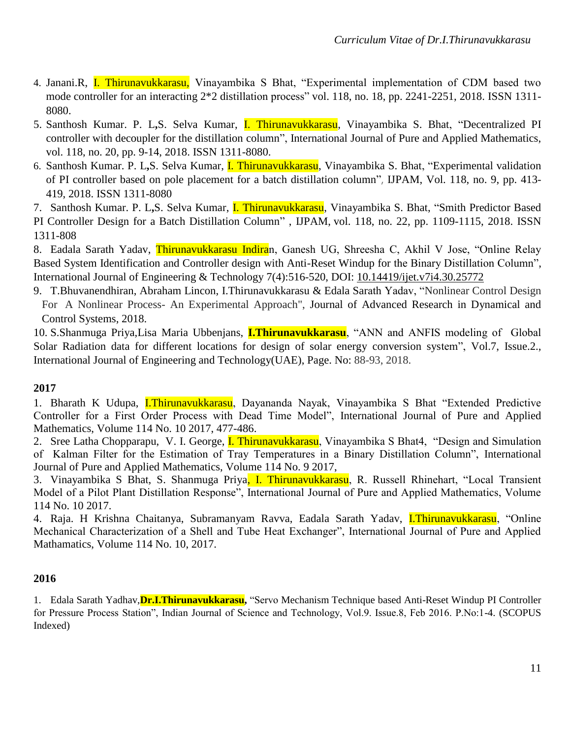- 4. Janani.R, I. Thirunavukkarasu, Vinayambika S Bhat, "Experimental implementation of CDM based two mode controller for an interacting 2\*2 distillation process" vol. 118, no. 18, pp. 2241-2251, 2018. ISSN 1311- 8080.
- 5. Santhosh Kumar. P. L**,**S. Selva Kumar, I. Thirunavukkarasu, Vinayambika S. Bhat, "Decentralized PI controller with decoupler for the distillation column", International Journal of Pure and Applied Mathematics, vol. 118, no. 20, pp. 9-14, 2018. ISSN 1311-8080.
- 6. Santhosh Kumar. P. L**,**S. Selva Kumar, I. Thirunavukkarasu, Vinayambika S. Bhat, "Experimental validation of PI controller based on pole placement for a batch distillation column", IJPAM, Vol. 118, no. 9, pp. 413- 419, 2018. ISSN 1311-8080
- 7. Santhosh Kumar. P. L**,**S. Selva Kumar, I. Thirunavukkarasu, Vinayambika S. Bhat, "Smith Predictor Based PI Controller Design for a Batch Distillation Column" , IJPAM, vol. 118, no. 22, pp. 1109-1115, 2018. ISSN 1311-808
- 8. Eadala Sarath Yadav, *Thirunavukkarasu Indiran*, Ganesh UG, Shreesha C, Akhil V Jose, "Online Relay Based System Identification and Controller design with Anti-Reset Windup for the Binary Distillation Column", International Journal of Engineering & Technology 7(4):516-520, DOI: [10.14419/ijet.v7i4.30.25772](https://www.researchgate.net/deref/http%3A%2F%2Fdx.doi.org%2F10.14419%2Fijet.v7i4.30.25772?_sg%5B0%5D=n1A160UJaWMZmFeGNWDxzG4dyf0_a_I2-Ip4M5H1DE6LkWCQeCl5l5TKZ1qEYG2a1ng9LOAb6LqAAk_2kTALyNh5LQ.xGIPZgAWg9AU279lm0pF98fbhoqRDAEXDa-XDQgQbwBSg5b3vrB_LKoqQ46nC5EzazLe5e4Ao411X1IdMNjUGA)
- 9. T.Bhuvanendhiran, Abraham Lincon, I.Thirunavukkarasu & Edala Sarath Yadav, "Nonlinear Control Design For A Nonlinear Process- An Experimental Approach", Journal of Advanced Research in Dynamical and Control Systems, 2018.

10. S.Shanmuga Priya,Lisa Maria Ubbenjans, **I.Thirunavukkarasu**, "ANN and ANFIS modeling of Global Solar Radiation data for different locations for design of solar energy conversion system", Vol.7, Issue.2., [International Journal of Engineering and Technology\(UAE\),](https://manipal.pure.elsevier.com/en/publications/artificial-neural-network-and-neuro-fuzzy-inference-modelling-of-) Page. No: 88-93, 2018.

#### **2017**

1. Bharath K Udupa, *I.Thirunavukkarasu*, Dayananda Nayak, Vinayambika S Bhat "Extended Predictive Controller for a First Order Process with Dead Time Model", International Journal of Pure and Applied Mathematics, Volume 114 No. 10 2017, 477-486.

2. Sree Latha Chopparapu, V. I. George, *I. Thirunavukkarasu*, Vinayambika S Bhat4, "Design and Simulation of Kalman Filter for the Estimation of Tray Temperatures in a Binary Distillation Column", International Journal of Pure and Applied Mathematics, Volume 114 No. 9 2017,

3. Vinayambika S Bhat, S. Shanmuga Priya, I. Thirunavukkarasu, R. Russell Rhinehart, "Local Transient Model of a Pilot Plant Distillation Response", International Journal of Pure and Applied Mathematics, Volume 114 No. 10 2017.

4. Raja. H Krishna Chaitanya, Subramanyam Ravva, Eadala Sarath Yadav, I.Thirunavukkarasu, "Online Mechanical Characterization of a Shell and Tube Heat Exchanger", International Journal of Pure and Applied Mathamatics, Volume 114 No. 10, 2017.

#### **2016**

1. Edala Sarath Yadhav,**Dr.I.Thirunavukkarasu,** "Servo Mechanism Technique based Anti-Reset Windup PI Controller for Pressure Process Station", Indian Journal of Science and Technology, Vol.9. Issue.8, Feb 2016. P.No:1-4. (SCOPUS Indexed)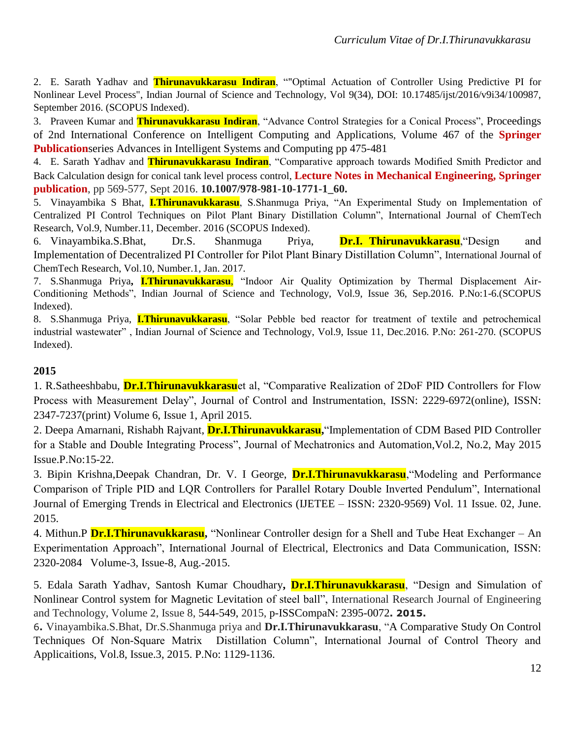2. E. Sarath Yadhav and **Thirunavukkarasu Indiran**, ""Optimal Actuation of Controller Using Predictive PI for Nonlinear Level Process", Indian Journal of Science and Technology, Vol 9(34), DOI: 10.17485/ijst/2016/v9i34/100987, September 2016. (SCOPUS Indexed).

3. Praveen Kumar and **Thirunavukkarasu Indiran**, "Advance Control Strategies for a Conical Process", [Proceedings](http://link.springer.com/book/10.1007/978-981-10-1645-5) of 2nd International Conference on Intelligent Computing and [Applications](http://link.springer.com/book/10.1007/978-981-10-1645-5), Volume 467 of the **Springer Publicationseries Advances in Intelligent Systems and [Computing](http://link.springer.com/bookseries/11156) pp 475-481** 

4. E. Sarath Yadhav and **Thirunavukkarasu Indiran**, "Comparative approach towards Modified Smith Predictor and Back Calculation design for conical tank level process control, **Lecture Notes in Mechanical Engineering, Springer publication**, pp 569-577, Sept 2016. **10.1007/978-981-10-1771-1\_60.**

5. Vinayambika S Bhat, **I.Thirunavukkarasu**, S.Shanmuga Priya, "An Experimental Study on Implementation of Centralized PI Control Techniques on Pilot Plant Binary Distillation Column", International Journal of ChemTech Research, Vol.9, Number.11, December. 2016 (SCOPUS Indexed).

6. Vinayambika.S.Bhat, Dr.S. Shanmuga Priya, **Dr.I. Thirunavukkarasu**,"Design and Implementation of Decentralized PI Controller for Pilot Plant Binary Distillation Column", International Journal of ChemTech Research, Vol.10, Number.1, Jan. 2017.

7. S.Shanmuga Priya**, I.Thirunavukkarasu**, "Indoor Air Quality Optimization by Thermal Displacement Air-Conditioning Methods", Indian Journal of Science and Technology, Vol.9, Issue 36, Sep.2016. P.No:1-6.(SCOPUS Indexed).

8. S.Shanmuga Priya, **I.Thirunavukkarasu**, "Solar Pebble bed reactor for treatment of textile and petrochemical industrial wastewater" , Indian Journal of Science and Technology, Vol.9, Issue 11, Dec.2016. P.No: 261-270. (SCOPUS Indexed).

#### **2015**

1. R.Satheeshbabu, **Dr.I.Thirunavukkarasu**et al, "Comparative Realization of 2DoF PID Controllers for Flow Process with Measurement Delay", Journal of Control and Instrumentation, ISSN: 2229-6972(online), ISSN: 2347-7237(print) Volume 6, Issue 1, April 2015.

2. Deepa Amarnani, Rishabh Rajvant, **Dr.I.Thirunavukkarasu,**"Implementation of CDM Based PID Controller for a Stable and Double Integrating Process", Journal of Mechatronics and Automation,Vol.2, No.2, May 2015 Issue.P.No:15-22.

3. Bipin Krishna,Deepak Chandran, Dr. V. I George, **Dr.I.Thirunavukkarasu**,"Modeling and Performance Comparison of Triple PID and LQR Controllers for Parallel Rotary Double Inverted Pendulum", International Journal of Emerging Trends in Electrical and Electronics (IJETEE – ISSN: 2320-9569) Vol. 11 Issue. 02, June. 2015.

4. Mithun.P **Dr.I.Thirunavukkarasu,** "Nonlinear Controller design for a Shell and Tube Heat Exchanger – An Experimentation Approach", International Journal of Electrical, Electronics and Data Communication, ISSN: 2320-2084 Volume-3, Issue-8, Aug.-2015.

5. Edala Sarath Yadhav, Santosh Kumar Choudhary**, Dr.I.Thirunavukkarasu**, "Design and Simulation of Nonlinear Control system for Magnetic Levitation of steel ball", International Research Journal of Engineering and Technology, Volume 2, Issue 8, 544-549, 2015, p-ISSCompaN: 2395-0072**. 2015.** 

6**.** Vinayambika.S.Bhat, Dr.S.Shanmuga priya and **Dr.I.Thirunavukkarasu**, "A Comparative Study On Control Techniques Of Non-Square Matrix Distillation Column", International Journal of Control Theory and Applicaitions, Vol.8, Issue.3, 2015. P.No: 1129-1136.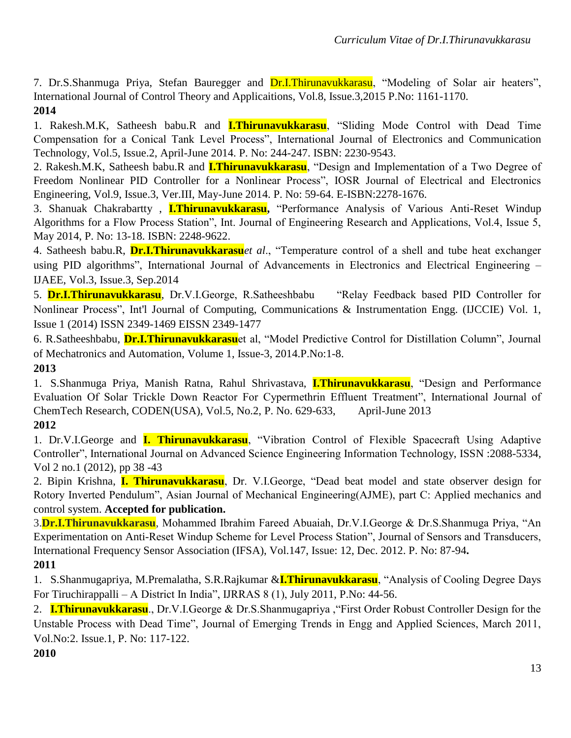7. Dr.S.Shanmuga Priya, Stefan Bauregger and Dr.I.Thirunavukkarasu, "Modeling of Solar air heaters", International Journal of Control Theory and Applicaitions, Vol.8, Issue.3,2015 P.No: 1161-1170. **2014**

1. Rakesh.M.K, Satheesh babu.R and **I.Thirunavukkarasu**, "Sliding Mode Control with Dead Time Compensation for a Conical Tank Level Process", International Journal of Electronics and Communication Technology, Vol.5, Issue.2, April-June 2014. P. No: 244-247. ISBN: 2230-9543.

2. Rakesh.M.K, Satheesh babu.R and **I.Thirunavukkarasu**, "Design and Implementation of a Two Degree of Freedom Nonlinear PID Controller for a Nonlinear Process", IOSR Journal of Electrical and Electronics Engineering, Vol.9, Issue.3, Ver.III, May-June 2014. P. No: 59-64. E-ISBN:2278-1676.

3. Shanuak Chakrabartty , **I.Thirunavukkarasu,** "Performance Analysis of Various Anti-Reset Windup Algorithms for a Flow Process Station", Int. Journal of Engineering Research and Applications, Vol.4, Issue 5, May 2014, P. No: 13-18. ISBN: 2248-9622.

4. Satheesh babu.R, **Dr.I.Thirunavukkarasu***et al*., "Temperature control of a shell and tube heat exchanger using PID algorithms", International Journal of Advancements in Electronics and Electrical Engineering – IJAEE, Vol.3, Issue.3, Sep.2014

5. **Dr.I.Thirunavukkarasu**, Dr.V.I.George, R.Satheeshbabu "Relay Feedback based PID Controller for Nonlinear Process", Int'l Journal of Computing, Communications & Instrumentation Engg. (IJCCIE) Vol. 1, Issue 1 (2014) ISSN 2349-1469 EISSN 2349-1477

6. R.Satheeshbabu, **Dr.I.Thirunavukkarasu**et al, "Model Predictive Control for Distillation Column", Journal of Mechatronics and Automation, Volume 1, Issue-3, 2014.P.No:1-8.

## **2013**

1. S.Shanmuga Priya, Manish Ratna, Rahul Shrivastava, **I.Thirunavukkarasu**, "Design and Performance Evaluation Of Solar Trickle Down Reactor For Cypermethrin Effluent Treatment", International Journal of ChemTech Research, CODEN(USA), Vol.5, No.2, P. No. 629-633, April-June 2013

### **2012**

1. Dr.V.I.George and **I. Thirunavukkarasu**, "Vibration Control of Flexible Spacecraft Using Adaptive Controller", International Journal on Advanced Science Engineering Information Technology, ISSN :2088-5334, Vol 2 no.1 (2012), pp 38 -43

2. Bipin Krishna, **I. Thirunavukkarasu**, Dr. V.I.George, "Dead beat model and state observer design for Rotory Inverted Pendulum", Asian Journal of Mechanical Engineering(AJME), part C: Applied mechanics and control system. **Accepted for publication.**

3.**Dr.I.Thirunavukkarasu**, Mohammed Ibrahim Fareed Abuaiah, Dr.V.I.George & Dr.S.Shanmuga Priya, "An Experimentation on Anti-Reset Windup Scheme for Level Process Station", Journal of Sensors and Transducers, International Frequency Sensor Association (IFSA), Vol.147, Issue: 12, Dec. 2012. P. No: 87-94**. 2011**

## 1. S.Shanmugapriya, M.Premalatha, S.R.Rajkumar &**I.Thirunavukkarasu**, "Analysis of Cooling Degree Days For Tiruchirappalli – A District In India", IJRRAS 8 (1), July 2011, P.No: 44-56.

2. **I.Thirunavukkarasu**., Dr.V.I.George & Dr.S.Shanmugapriya ,"First Order Robust Controller Design for the Unstable Process with Dead Time", Journal of Emerging Trends in Engg and Applied Sciences, March 2011, Vol.No:2. Issue.1, P. No: 117-122.

#### **2010**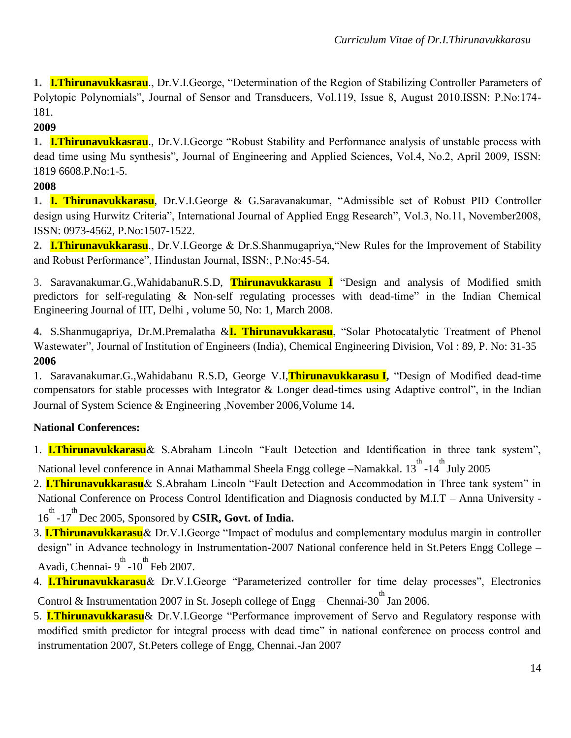**1. I.Thirunavukkasrau**., Dr.V.I.George, "Determination of the Region of Stabilizing Controller Parameters of Polytopic Polynomials", Journal of Sensor and Transducers, Vol.119, Issue 8, August 2010.ISSN: P.No:174- 181.

### **2009**

**1. I.Thirunavukkasrau**., Dr.V.I.George "Robust Stability and Performance analysis of unstable process with dead time using Mu synthesis", Journal of Engineering and Applied Sciences, Vol.4, No.2, April 2009, ISSN: 1819 6608.P.No:1-5.

### **2008**

**1. I. Thirunavukkarasu**, Dr.V.I.George & G.Saravanakumar, "Admissible set of Robust PID Controller design using Hurwitz Criteria", International Journal of Applied Engg Research", Vol.3, No.11, November2008, ISSN: 0973-4562, P.No:1507-1522.

**2. I.Thirunavukkarasu**., Dr.V.I.George & Dr.S.Shanmugapriya,"New Rules for the Improvement of Stability and Robust Performance", Hindustan Journal, ISSN:, P.No:45-54.

3. Saravanakumar.G.,WahidabanuR.S.D, **Thirunavukkarasu I** "Design and analysis of Modified smith predictors for self-regulating & Non-self regulating processes with dead-time" in the Indian Chemical Engineering Journal of IIT, Delhi , volume 50, No: 1, March 2008.

**4.** S.Shanmugapriya, Dr.M.Premalatha &**I. Thirunavukkarasu**, "Solar Photocatalytic Treatment of Phenol Wastewater", Journal of Institution of Engineers (India), Chemical Engineering Division, Vol : 89, P. No: 31-35 **2006**

1. Saravanakumar.G.,Wahidabanu R.S.D, George V.I,**Thirunavukkarasu I,** "Design of Modified dead-time compensators for stable processes with Integrator & Longer dead-times using Adaptive control", in the Indian Journal of System Science & Engineering ,November 2006,Volume 14.

## **National Conferences:**

1. **I.Thirunavukkarasu**& S.Abraham Lincoln "Fault Detection and Identification in three tank system", National level conference in Annai Mathammal Sheela Engg college –Namakkal. 13<sup>th</sup> -14<sup>th</sup> July 2005

2. **I.Thirunavukkarasu**& S.Abraham Lincoln "Fault Detection and Accommodation in Three tank system" in National Conference on Process Control Identification and Diagnosis conducted by M.I.T – Anna University - 16<sup>th</sup> -17<sup>th</sup> Dec 2005, Sponsored by **CSIR, Govt. of India.** 

3. **I.Thirunavukkarasu**& Dr.V.I.George "Impact of modulus and complementary modulus margin in controller design" in Advance technology in Instrumentation-2007 National conference held in St.Peters Engg College – Avadi, Chennai-  $9^{\text{th}}$ -10<sup>th</sup> Feb 2007.

4. **I.Thirunavukkarasu**& Dr.V.I.George "Parameterized controller for time delay processes", Electronics Control & Instrumentation 2007 in St. Joseph college of Engg – Chennai-30<sup>th</sup> Jan 2006.

5. **I.Thirunavukkarasu**& Dr.V.I.George "Performance improvement of Servo and Regulatory response with modified smith predictor for integral process with dead time" in national conference on process control and instrumentation 2007, St.Peters college of Engg, Chennai.-Jan 2007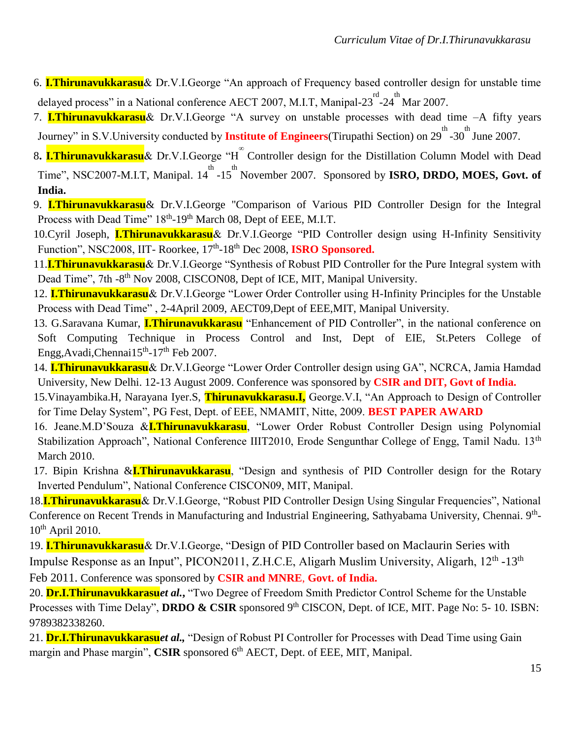- 6. **I.Thirunavukkarasu**& Dr.V.I.George "An approach of Frequency based controller design for unstable time delayed process" in a National conference AECT 2007, M.I.T, Manipal-23 $^{\text{rd}}$ -24 $^{\text{th}}$ Mar 2007.
- 7. **I.Thirunavukkarasu**& Dr.V.I.George "A survey on unstable processes with dead time –A fifty years Journey" in S.V.University conducted by **Institute of Engineers**(Tirupathi Section) on 29<sup>th</sup> -30<sup>th</sup> June 2007.
- 8. **I.Thirunavukkarasu**& Dr.V.I.George "H<sup>om</sup> Controller design for the Distillation Column Model with Dead Time", NSC2007-M.I.T, Manipal. 14<sup>th</sup> -15<sup>th</sup> November 2007. Sponsored by **ISRO, DRDO, MOES, Govt. of**
- **India.**
- 9. **I.Thirunavukkarasu**& Dr.V.I.George "Comparison of Various PID Controller Design for the Integral Process with Dead Time" 18<sup>th</sup>-19<sup>th</sup> March 08, Dept of EEE, M.I.T.
- 10.Cyril Joseph, **I.Thirunavukkarasu**& Dr.V.I.George "PID Controller design using H-Infinity Sensitivity Function", NSC2008, IIT- Roorkee, 17<sup>th</sup>-18<sup>th</sup> Dec 2008, **ISRO Sponsored.**
- 11.**I.Thirunavukkarasu**& Dr.V.I.George "Synthesis of Robust PID Controller for the Pure Integral system with Dead Time", 7th -8<sup>th</sup> Nov 2008, CISCON08, Dept of ICE, MIT, Manipal University.
- 12. **I.Thirunavukkarasu**& Dr.V.I.George "Lower Order Controller using H-Infinity Principles for the Unstable Process with Dead Time" , 2-4April 2009, AECT09,Dept of EEE,MIT, Manipal University.
- 13. G.Saravana Kumar, **I.Thirunavukkarasu** "Enhancement of PID Controller", in the national conference on Soft Computing Technique in Process Control and Inst, Dept of EIE, St.Peters College of Engg, Avadi, Chennai 15<sup>th</sup>-17<sup>th</sup> Feb 2007.
- 14. **I.Thirunavukkarasu**& Dr.V.I.George "Lower Order Controller design using GA", NCRCA, Jamia Hamdad University, New Delhi. 12-13 August 2009. Conference was sponsored by **CSIR and DIT, Govt of India.**
- 15.Vinayambika.H, Narayana Iyer.S, **Thirunavukkarasu.I,** George.V.I, "An Approach to Design of Controller for Time Delay System", PG Fest, Dept. of EEE, NMAMIT, Nitte, 2009. **BEST PAPER AWARD**
- 16. Jeane.M.D'Souza &**I.Thirunavukkarasu**, "Lower Order Robust Controller Design using Polynomial Stabilization Approach", National Conference IIIT2010, Erode Sengunthar College of Engg, Tamil Nadu. 13<sup>th</sup> March 2010.
- 17. Bipin Krishna &**I.Thirunavukkarasu**, "Design and synthesis of PID Controller design for the Rotary Inverted Pendulum", National Conference CISCON09, MIT, Manipal.
- 18.**I.Thirunavukkarasu**& Dr.V.I.George, "Robust PID Controller Design Using Singular Frequencies", National Conference on Recent Trends in Manufacturing and Industrial Engineering, Sathyabama University, Chennai. 9<sup>th</sup>- $10^{th}$  April 2010.
- 19. **I.Thirunavukkarasu**& Dr.V.I.George, "Design of PID Controller based on Maclaurin Series with Impulse Response as an Input", PICON2011, Z.H.C.E, Aligarh Muslim University, Aligarh, 12<sup>th</sup> -13<sup>th</sup> Feb 2011. Conference was sponsored by **CSIR and MNRE**, **Govt. of India.**
- 20. **Dr.I.Thirunavukkarasu***et al.***,** "Two Degree of Freedom Smith Predictor Control Scheme for the Unstable Processes with Time Delay", **DRDO & CSIR** sponsored 9<sup>th</sup> CISCON, Dept. of ICE, MIT. Page No: 5- 10. ISBN: 9789382338260.
- 21. **Dr.I.Thirunavukkarasu***et al.,* "Design of Robust PI Controller for Processes with Dead Time using Gain margin and Phase margin", CSIR sponsored 6<sup>th</sup> AECT, Dept. of EEE, MIT, Manipal.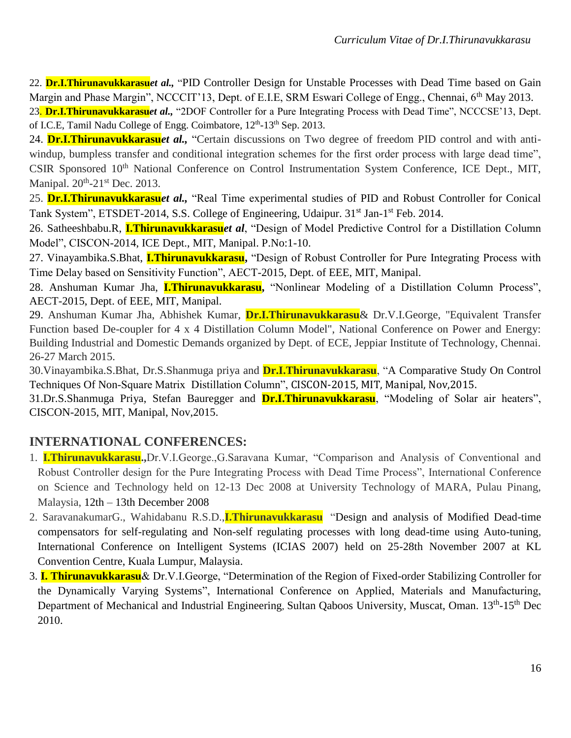22. **Dr.I.Thirunavukkarasu***et al.,* "PID Controller Design for Unstable Processes with Dead Time based on Gain Margin and Phase Margin", NCCCIT'13, Dept. of E.I.E, SRM Eswari College of Engg., Chennai, 6<sup>th</sup> Mav 2013.

23. **Dr.I.Thirunavukkarasu***et al.,* "2DOF Controller for a Pure Integrating Process with Dead Time", NCCCSE'13, Dept. of I.C.E, Tamil Nadu College of Engg. Coimbatore,  $12<sup>th</sup>$ -13<sup>th</sup> Sep. 2013.

24. **Dr.I.Thirunavukkarasu***et al.,* "Certain discussions on Two degree of freedom PID control and with antiwindup, bumpless transfer and conditional integration schemes for the first order process with large dead time", CSIR Sponsored 10<sup>th</sup> National Conference on Control Instrumentation System Conference, ICE Dept., MIT, Manipal.  $20^{th}$ - $21^{st}$  Dec. 2013.

25. **Dr.I.Thirunavukkarasu***et al.,* "Real Time experimental studies of PID and Robust Controller for Conical Tank System", ETSDET-2014, S.S. College of Engineering, Udaipur. 31<sup>st</sup> Jan-1<sup>st</sup> Feb. 2014.

26. Satheeshbabu.R, **I.Thirunavukkarasu***et al*, "Design of Model Predictive Control for a Distillation Column Model", CISCON-2014, ICE Dept., MIT, Manipal. P.No:1-10.

27. Vinayambika.S.Bhat, **I.Thirunavukkarasu,** "Design of Robust Controller for Pure Integrating Process with Time Delay based on Sensitivity Function", AECT-2015, Dept. of EEE, MIT, Manipal.

28. Anshuman Kumar Jha, **I.Thirunavukkarasu,** "Nonlinear Modeling of a Distillation Column Process", AECT-2015, Dept. of EEE, MIT, Manipal.

29. Anshuman Kumar Jha, Abhishek Kumar, **Dr.I.Thirunavukkarasu**& Dr.V.I.George, "Equivalent Transfer Function based De-coupler for 4 x 4 Distillation Column Model", National Conference on Power and Energy: Building Industrial and Domestic Demands organized by Dept. of ECE, Jeppiar Institute of Technology, Chennai. 26-27 March 2015.

30.Vinayambika.S.Bhat, Dr.S.Shanmuga priya and **Dr.I.Thirunavukkarasu**, "A Comparative Study On Control Techniques Of Non-Square Matrix Distillation Column", CISCON-2015, MIT, Manipal, Nov,2015.

31.Dr.S.Shanmuga Priya, Stefan Bauregger and **Dr.I.Thirunavukkarasu**, "Modeling of Solar air heaters", CISCON-2015, MIT, Manipal, Nov,2015.

# **INTERNATIONAL CONFERENCES:**

- 1. **I.Thirunavukkarasu.,**Dr.V.I.George.,G.Saravana Kumar, "Comparison and Analysis of Conventional and Robust Controller design for the Pure Integrating Process with Dead Time Process", International Conference on Science and Technology held on 12-13 Dec 2008 at University Technology of MARA, Pulau Pinang, Malaysia, 12th – 13th December 2008
- 2. SaravanakumarG., Wahidabanu R.S.D.,**I.Thirunavukkarasu** "Design and analysis of Modified Dead-time compensators for self-regulating and Non-self regulating processes with long dead-time using Auto-tuning, International Conference on Intelligent Systems (ICIAS 2007) held on 25-28th November 2007 at KL Convention Centre, Kuala Lumpur, Malaysia.
- 3. **I. Thirunavukkarasu**& Dr.V.I.George, "Determination of the Region of Fixed-order Stabilizing Controller for the Dynamically Varying Systems", International Conference on Applied, Materials and Manufacturing, Department of Mechanical and Industrial Engineering, Sultan Qaboos University, Muscat, Oman. 13<sup>th</sup>-15<sup>th</sup> Dec 2010.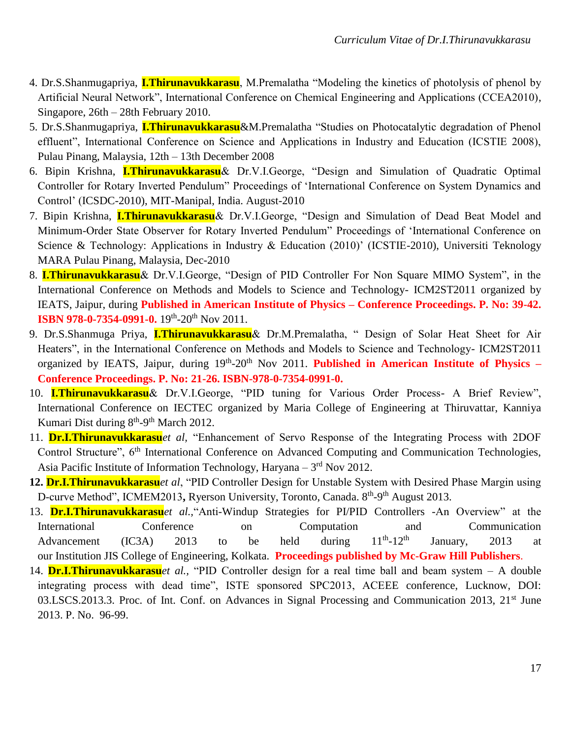- 4. Dr.S.Shanmugapriya, **I.Thirunavukkarasu**, M.Premalatha "Modeling the kinetics of photolysis of phenol by Artificial Neural Network", International Conference on Chemical Engineering and Applications (CCEA2010), Singapore, 26th – 28th February 2010.
- 5. Dr.S.Shanmugapriya, **I.Thirunavukkarasu**&M.Premalatha "Studies on Photocatalytic degradation of Phenol effluent", International Conference on Science and Applications in Industry and Education (ICSTIE 2008), Pulau Pinang, Malaysia, 12th – 13th December 2008
- 6. Bipin Krishna, **I.Thirunavukkarasu**& Dr.V.I.George, "Design and Simulation of Quadratic Optimal Controller for Rotary Inverted Pendulum" Proceedings of 'International Conference on System Dynamics and Control' (ICSDC-2010), MIT-Manipal, India. August-2010
- 7. Bipin Krishna, **I.Thirunavukkarasu**& Dr.V.I.George, "Design and Simulation of Dead Beat Model and Minimum-Order State Observer for Rotary Inverted Pendulum" Proceedings of 'International Conference on Science & Technology: Applications in Industry & Education (2010)' (ICSTIE-2010), Universiti Teknology MARA Pulau Pinang, Malaysia, Dec-2010
- 8. **I.Thirunavukkarasu**& Dr.V.I.George, "Design of PID Controller For Non Square MIMO System", in the International Conference on Methods and Models to Science and Technology- ICM2ST2011 organized by IEATS, Jaipur, during **Published in American Institute of Physics – Conference Proceedings. P. No: 39-42. ISBN 978-0-7354-0991-0.** 19<sup>th</sup>-20<sup>th</sup> Nov 2011.
- 9. Dr.S.Shanmuga Priya, **I.Thirunavukkarasu**& Dr.M.Premalatha, " Design of Solar Heat Sheet for Air Heaters", in the International Conference on Methods and Models to Science and Technology- ICM2ST2011 organized by IEATS, Jaipur, during 19<sup>th</sup>-20<sup>th</sup> Nov 2011. **Published in American Institute of Physics – Conference Proceedings. P. No: 21-26. ISBN-978-0-7354-0991-0.**
- 10. **I.Thirunavukkarasu**& Dr.V.I.George, "PID tuning for Various Order Process- A Brief Review", International Conference on IECTEC organized by Maria College of Engineering at Thiruvattar, Kanniya Kumari Dist during  $8<sup>th</sup>-9<sup>th</sup>$  March 2012.
- 11. **Dr.I.Thirunavukkarasu***et al,* "Enhancement of Servo Response of the Integrating Process with 2DOF Control Structure", 6<sup>th</sup> International Conference on Advanced Computing and Communication Technologies, Asia Pacific Institute of Information Technology, Haryana  $-3<sup>rd</sup>$  Nov 2012.
- **12. Dr.I.Thirunavukkarasu***et al*, "PID Controller Design for Unstable System with Desired Phase Margin using D-curve Method", ICMEM2013, Ryerson University, Toronto, Canada. 8<sup>th</sup>-9<sup>th</sup> August 2013.
- 13. **Dr.I.Thirunavukkarasu***et al.,*"Anti-Windup Strategies for PI/PID Controllers -An Overview" at the International Conference on Computation and Communication Advancement (IC3A) 2013 to be held during  $11^{th}$ - $12^{th}$ January, 2013 at our Institution JIS College of Engineering, Kolkata. **Proceedings published by Mc-Graw Hill Publishers**.
- 14. **Dr.I.Thirunavukkarasu***et al.,* "PID Controller design for a real time ball and beam system A double integrating process with dead time", ISTE sponsored SPC2013, ACEEE conference, Lucknow, DOI: 03.LSCS.2013.3. Proc. of Int. Conf. on Advances in Signal Processing and Communication 2013, 21<sup>st</sup> June 2013. P. No. 96-99.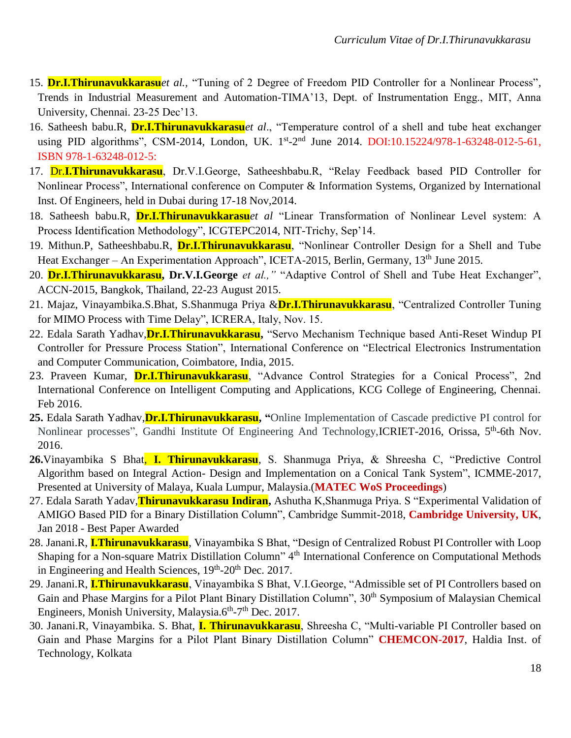- 15. **Dr.I.Thirunavukkarasu***et al.,* "Tuning of 2 Degree of Freedom PID Controller for a Nonlinear Process", Trends in Industrial Measurement and Automation-TIMA'13, Dept. of Instrumentation Engg., MIT, Anna University, Chennai. 23-25 Dec'13.
- 16. Satheesh babu.R, **Dr.I.Thirunavukkarasu***et al*., "Temperature control of a shell and tube heat exchanger using PID algorithms", CSM-2014, London, UK. 1st-2<sup>nd</sup> June 2014. DOI:10.15224/978-1-63248-012-5-61, ISBN 978-1-63248-012-5:
- 17. Dr.**I.Thirunavukkarasu**, Dr.V.I.George, Satheeshbabu.R, "Relay Feedback based PID Controller for Nonlinear Process", International conference on Computer & Information Systems, Organized by International Inst. Of Engineers, held in Dubai during 17-18 Nov,2014.
- 18. Satheesh babu.R, **Dr.I.Thirunavukkarasu***et al* "Linear Transformation of Nonlinear Level system: A Process Identification Methodology", ICGTEPC2014, NIT-Trichy, Sep'14.
- 19. Mithun.P, Satheeshbabu.R, **Dr.I.Thirunavukkarasu**, "Nonlinear Controller Design for a Shell and Tube Heat Exchanger – An Experimentation Approach", ICETA-2015, Berlin, Germany, 13<sup>th</sup> June 2015.
- 20. **Dr.I.Thirunavukkarasu, Dr.V.I.George** *et al.,"* "Adaptive Control of Shell and Tube Heat Exchanger", ACCN-2015, Bangkok, Thailand, 22-23 August 2015.
- 21. Majaz, Vinayambika.S.Bhat, S.Shanmuga Priya &**Dr.I.Thirunavukkarasu**, "Centralized Controller Tuning for MIMO Process with Time Delay", ICRERA, Italy, Nov. 15.
- 22. Edala Sarath Yadhav,**Dr.I.Thirunavukkarasu,** "Servo Mechanism Technique based Anti-Reset Windup PI Controller for Pressure Process Station", International Conference on "Electrical Electronics Instrumentation and Computer Communication, Coimbatore, India, 2015.
- 23. Praveen Kumar, **Dr.I.Thirunavukkarasu**, "Advance Control Strategies for a Conical Process", 2nd International Conference on Intelligent Computing and Applications, KCG College of Engineering, Chennai. Feb 2016.
- **25.** Edala Sarath Yadhav,**Dr.I.Thirunavukkarasu, "**Online Implementation of Cascade predictive PI control for Nonlinear processes", Gandhi Institute Of Engineering And Technology, ICRIET-2016, Orissa, 5<sup>th</sup>-6th Nov. 2016.
- **26.**Vinayambika S Bhat, **I. Thirunavukkarasu**, S. Shanmuga Priya, & Shreesha C, "Predictive Control Algorithm based on Integral Action- Design and Implementation on a Conical Tank System", ICMME-2017, Presented at University of Malaya, Kuala Lumpur, Malaysia.(**MATEC WoS Proceedings**)
- 27. Edala Sarath Yadav,**Thirunavukkarasu Indiran,** Ashutha K,Shanmuga Priya. S "Experimental Validation of AMIGO Based PID for a Binary Distillation Column", Cambridge Summit-2018, **Cambridge University, UK**, Jan 2018 - Best Paper Awarded
- 28. Janani.R, **I.Thirunavukkarasu**, Vinayambika S Bhat, "Design of Centralized Robust PI Controller with Loop Shaping for a Non-square Matrix Distillation Column" 4<sup>th</sup> International Conference on Computational Methods in Engineering and Health Sciences, 19<sup>th</sup>-20<sup>th</sup> Dec. 2017.
- 29. Janani.R, **I.Thirunavukkarasu**, Vinayambika S Bhat, V.I.George, "Admissible set of PI Controllers based on Gain and Phase Margins for a Pilot Plant Binary Distillation Column", 30<sup>th</sup> Symposium of Malaysian Chemical Engineers, Monish University, Malaysia.6<sup>th</sup>-7<sup>th</sup> Dec. 2017.
- 30. Janani.R, Vinayambika. S. Bhat, **I. Thirunavukkarasu**, Shreesha C, "Multi-variable PI Controller based on Gain and Phase Margins for a Pilot Plant Binary Distillation Column" **CHEMCON-2017**, Haldia Inst. of Technology, Kolkata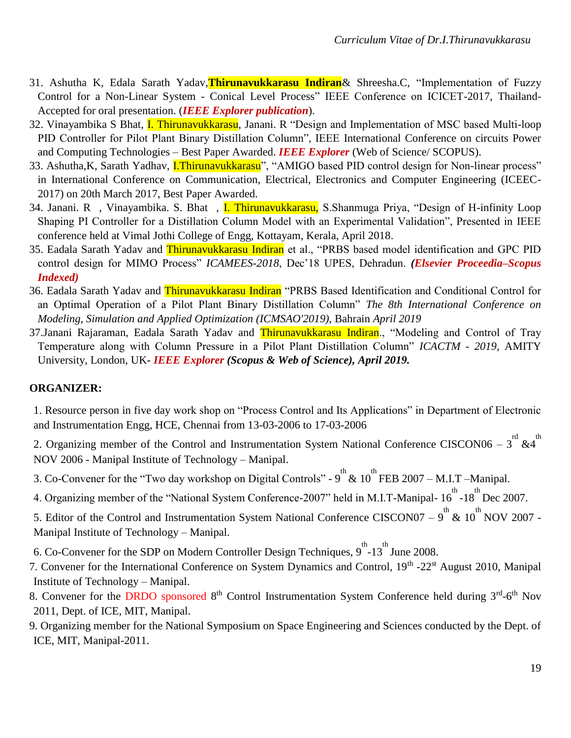- 31. Ashutha K, Edala Sarath Yadav,**Thirunavukkarasu Indiran**& Shreesha.C, "Implementation of Fuzzy Control for a Non-Linear System - Conical Level Process" IEEE Conference on ICICET-2017, Thailand-Accepted for oral presentation. (*IEEE Explorer publication*).
- 32. Vinayambika S Bhat, I. Thirunavukkarasu, Janani. R "Design and Implementation of MSC based Multi-loop PID Controller for Pilot Plant Binary Distillation Column", IEEE International Conference on circuits Power and Computing Technologies – Best Paper Awarded. *IEEE Explorer* (Web of Science/ SCOPUS).
- 33. Ashutha, K, Sarath Yadhav, *I.Thirunavukkarasu*", "AMIGO based PID control design for Non-linear process" in International Conference on Communication, Electrical, Electronics and Computer Engineering (ICEEC-2017) on 20th March 2017, Best Paper Awarded.
- 34. Janani. R, Vinayambika. S. Bhat, I. Thirunavukkarasu, S. Shanmuga Priya, "Design of H-infinity Loop Shaping PI Controller for a Distillation Column Model with an Experimental Validation", Presented in IEEE conference held at Vimal Jothi College of Engg, Kottayam, Kerala, April 2018.
- 35. Eadala Sarath Yadav and **Thirunavukkarasu Indiran** et al., "PRBS based model identification and GPC PID control design for MIMO Process" *ICAMEES-2018*, Dec'18 UPES, Dehradun. *(Elsevier Proceedia–Scopus Indexed)*
- 36. Eadala Sarath Yadav and Thirunavukkarasu Indiran "PRBS Based Identification and Conditional Control for an Optimal Operation of a Pilot Plant Binary Distillation Column" *The 8th International Conference on Modeling, Simulation and Applied Optimization (ICMSAO'2019),* Bahrain *April 2019*
- 37.Janani Rajaraman, Eadala Sarath Yadav and Thirunavukkarasu Indiran., "Modeling and Control of Tray Temperature along with Column Pressure in a Pilot Plant Distillation Column" *ICACTM - 2019*, AMITY University, London, UK**-** *IEEE Explorer (Scopus & Web of Science), April 2019.*

#### **ORGANIZER:**

1. Resource person in five day work shop on "Process Control and Its Applications" in Department of Electronic and Instrumentation Engg, HCE, Chennai from 13-03-2006 to 17-03-2006

2. Organizing member of the Control and Instrumentation System National Conference CISCON06 –  $3^{rd}$  &4<sup>th</sup> NOV 2006 - Manipal Institute of Technology – Manipal.

- 3. Co-Convener for the "Two day workshop on Digital Controls"  $9^{th}$  &  $10^{th}$  FEB 2007 M.I.T Manipal.
- 4. Organizing member of the "National System Conference-2007" held in M.I.T-Manipal-  $16^{th}$ -18 $^{th}$ Dec 2007.
- 5. Editor of the Control and Instrumentation System National Conference CISCON07  $9^{th}$  &  $10^{th}$  NOV 2007 -Manipal Institute of Technology – Manipal.
- 6. Co-Convener for the SDP on Modern Controller Design Techniques,  $9^{\text{th}}$ -13<sup>th</sup> June 2008.
- 7. Convener for the International Conference on System Dynamics and Control, 19<sup>th</sup> -22<sup>st</sup> August 2010, Manipal Institute of Technology – Manipal.
- 8. Convener for the DRDO sponsored 8<sup>th</sup> Control Instrumentation System Conference held during 3<sup>rd</sup>-6<sup>th</sup> Nov 2011, Dept. of ICE, MIT, Manipal.
- 9. Organizing member for the National Symposium on Space Engineering and Sciences conducted by the Dept. of ICE, MIT, Manipal-2011.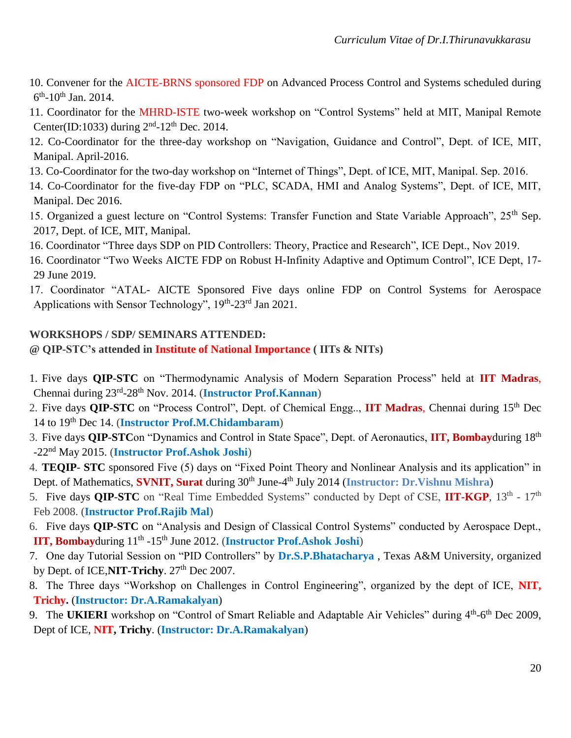- 10. Convener for the AICTE-BRNS sponsored FDP on Advanced Process Control and Systems scheduled during  $6^{\text{th}}$ -10<sup>th</sup> Jan. 2014.
- 11. Coordinator for the MHRD-ISTE two-week workshop on "Control Systems" held at MIT, Manipal Remote Center(ID:1033) during  $2<sup>nd</sup>$ -12<sup>th</sup> Dec. 2014.
- 12. Co-Coordinator for the three-day workshop on "Navigation, Guidance and Control", Dept. of ICE, MIT, Manipal. April-2016.
- 13. Co-Coordinator for the two-day workshop on "Internet of Things", Dept. of ICE, MIT, Manipal. Sep. 2016.
- 14. Co-Coordinator for the five-day FDP on "PLC, SCADA, HMI and Analog Systems", Dept. of ICE, MIT, Manipal. Dec 2016.
- 15. Organized a guest lecture on "Control Systems: Transfer Function and State Variable Approach", 25<sup>th</sup> Sep. 2017, Dept. of ICE, MIT, Manipal.
- 16. Coordinator "Three days SDP on PID Controllers: Theory, Practice and Research", ICE Dept., Nov 2019.
- 16. Coordinator "Two Weeks AICTE FDP on Robust H-Infinity Adaptive and Optimum Control", ICE Dept, 17- 29 June 2019.
- 17. Coordinator "ATAL- AICTE Sponsored Five days online FDP on Control Systems for Aerospace Applications with Sensor Technology", 19th-23rd Jan 2021.

#### **WORKSHOPS / SDP/ SEMINARS ATTENDED:**

**@ QIP-STC's attended in Institute of National Importance ( IITs & NITs)**

- 1. Five days **QIP**-**STC** on "Thermodynamic Analysis of Modern Separation Process" held at **IIT Madras**, Chennai during 23rd -28th Nov. 2014. (**Instructor Prof.Kannan**)
- 2. Five days **QIP**-**STC** on "Process Control", Dept. of Chemical Engg.., **IIT Madras**, Chennai during 15th Dec 14 to 19th Dec 14. (**Instructor Prof.M.Chidambaram**)
- 3. Five days **QIP**-**STC**on "Dynamics and Control in State Space", Dept. of Aeronautics, **IIT, Bombay**during 18th -22nd May 2015. (**Instructor Prof.Ashok Joshi**)
- 4. **TEQIP STC** sponsored Five (5) days on "Fixed Point Theory and Nonlinear Analysis and its application" in Dept. of Mathematics, **SVNIT, Surat** during 30<sup>th</sup> June-4<sup>th</sup> July 2014 (Instructor: Dr.Vishnu Mishra)
- 5. Five days **QIP-STC** on "Real Time Embedded Systems" conducted by Dept of CSE, **IIT-KGP**, 13<sup>th</sup> 17<sup>th</sup> Feb 2008. (**Instructor Prof.Rajib Mal**)
- 6. Five days **QIP-STC** on "Analysis and Design of Classical Control Systems" conducted by Aerospace Dept., **IIT, Bombayduring**  $11<sup>th</sup> - 15<sup>th</sup>$  June 2012. (Instructor Prof.Ashok Joshi)
- 7. One day Tutorial Session on "PID Controllers" by **Dr.S.P.Bhatacharya** , Texas A&M University, organized by Dept. of ICE, **NIT-Trichy**. 27<sup>th</sup> Dec 2007.
- 8. The Three days "Workshop on Challenges in Control Engineering", organized by the dept of ICE, **NIT, Trichy.** (**Instructor: Dr.A.Ramakalyan**)
- 9. The UKIERI workshop on "Control of Smart Reliable and Adaptable Air Vehicles" during 4<sup>th</sup>-6<sup>th</sup> Dec 2009, Dept of ICE, **NIT, Trichy**. (**Instructor: Dr.A.Ramakalyan**)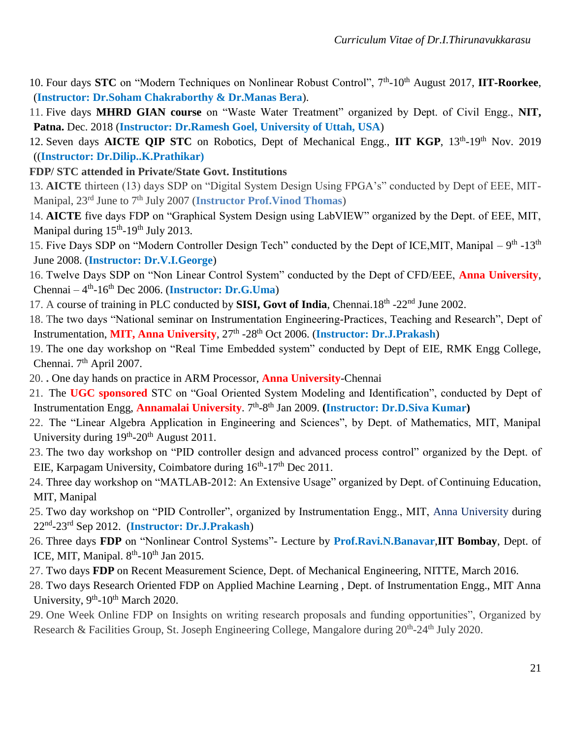- 10. Four days **STC** on "Modern Techniques on Nonlinear Robust Control", 7<sup>th</sup>-10<sup>th</sup> August 2017, **IIT-Roorkee**, (**Instructor: Dr.Soham Chakraborthy & Dr.Manas Bera**).
- 11. Five days **MHRD GIAN course** on "Waste Water Treatment" organized by Dept. of Civil Engg., **NIT, Patna.** Dec. 2018 (**Instructor: Dr.Ramesh Goel, University of Uttah, USA**)
- 12. Seven days **AICTE QIP STC** on Robotics, Dept of Mechanical Engg., IIT KGP, 13<sup>th</sup>-19<sup>th</sup> Nov. 2019 ((**Instructor: Dr.Dilip..K.Prathikar)**
- **FDP/ STC attended in Private/State Govt. Institutions**
- 13. **AICTE** thirteen (13) days SDP on "Digital System Design Using FPGA's" conducted by Dept of EEE, MIT-Manipal, 23<sup>rd</sup> June to 7<sup>th</sup> July 2007 (**Instructor Prof.Vinod Thomas**)
- 14. **AICTE** five days FDP on "Graphical System Design using LabVIEW" organized by the Dept. of EEE, MIT, Manipal during  $15<sup>th</sup>$ -19<sup>th</sup> July 2013.
- 15. Five Days SDP on "Modern Controller Design Tech" conducted by the Dept of ICE,MIT, Manipal 9<sup>th</sup> -13<sup>th</sup> June 2008. (**Instructor: Dr.V.I.George**)
- 16. Twelve Days SDP on "Non Linear Control System" conducted by the Dept of CFD/EEE, **Anna University**, Chennai – 4<sup>th</sup>-16<sup>th</sup> Dec 2006. (**Instructor: Dr.G.Uma**)
- 17. A course of training in PLC conducted by **SISI, Govt of India**, Chennai.18<sup>th</sup> -22<sup>nd</sup> June 2002.
- 18. The two days "National seminar on Instrumentation Engineering-Practices, Teaching and Research", Dept of Instrumentation, MIT, Anna University, 27<sup>th</sup> -28<sup>th</sup> Oct 2006. (Instructor: Dr.J.Prakash)
- 19. The one day workshop on "Real Time Embedded system" conducted by Dept of EIE, RMK Engg College, Chennai. 7<sup>th</sup> April 2007.
- 20. **.** One day hands on practice in ARM Processor, **Anna University**-Chennai
- 21. The **UGC sponsored** STC on "Goal Oriented System Modeling and Identification", conducted by Dept of Instrumentation Engg, **Annamalai University**. 7<sup>th</sup>-8<sup>th</sup> Jan 2009. (Instructor: Dr.D.Siva Kumar)
- 22. The "Linear Algebra Application in Engineering and Sciences", by Dept. of Mathematics, MIT, Manipal University during  $19<sup>th</sup>$ -20<sup>th</sup> August 2011.
- 23. The two day workshop on "PID controller design and advanced process control" organized by the Dept. of EIE, Karpagam University, Coimbatore during  $16<sup>th</sup>$ -17<sup>th</sup> Dec 2011.
- 24. Three day workshop on "MATLAB-2012: An Extensive Usage" organized by Dept. of Continuing Education, MIT, Manipal
- 25. Two day workshop on "PID Controller", organized by Instrumentation Engg., MIT, Anna University during 22nd -23rd Sep 2012. (**Instructor: Dr.J.Prakash**)
- 26. Three days **FDP** on "Nonlinear Control Systems"- Lecture by **Prof.Ravi.N.Banavar**,**IIT Bombay**, Dept. of ICE, MIT, Manipal.  $8<sup>th</sup>$ -10<sup>th</sup> Jan 2015.
- 27. Two days **FDP** on Recent Measurement Science, Dept. of Mechanical Engineering, NITTE, March 2016.
- 28. Two days Research Oriented FDP on Applied Machine Learning , Dept. of Instrumentation Engg., MIT Anna University,  $9<sup>th</sup>$ -10<sup>th</sup> March 2020.
- 29. One Week Online FDP on Insights on writing research proposals and funding opportunities", Organized by Research & Facilities Group, St. Joseph Engineering College, Mangalore during 20<sup>th</sup>-24<sup>th</sup> July 2020.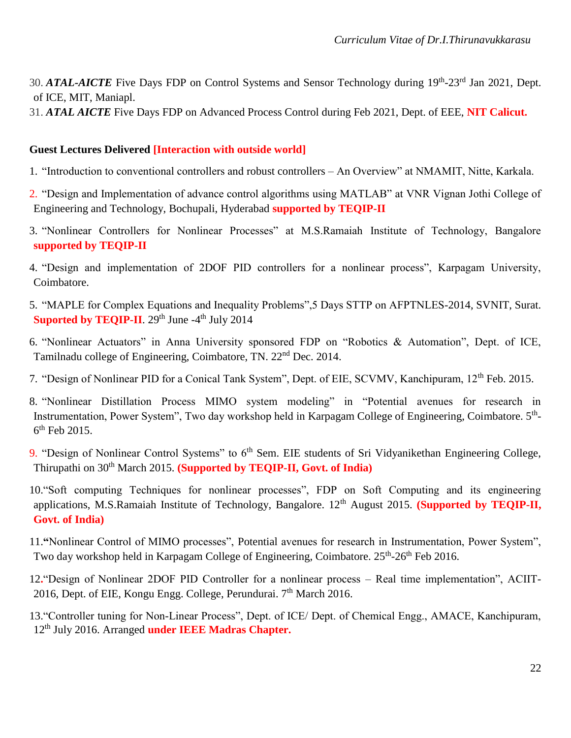- 30. ATAL-AICTE Five Days FDP on Control Systems and Sensor Technology during 19<sup>th</sup>-23<sup>rd</sup> Jan 2021, Dept. of ICE, MIT, Maniapl.
- 31. *ATAL AICTE* Five Days FDP on Advanced Process Control during Feb 2021, Dept. of EEE, **NIT Calicut.**

#### **Guest Lectures Delivered [Interaction with outside world]**

- 1. "Introduction to conventional controllers and robust controllers An Overview" at NMAMIT, Nitte, Karkala.
- 2. "Design and Implementation of advance control algorithms using MATLAB" at VNR Vignan Jothi College of Engineering and Technology, Bochupali, Hyderabad **supported by TEQIP-II**
- 3. "Nonlinear Controllers for Nonlinear Processes" at M.S.Ramaiah Institute of Technology, Bangalore **supported by TEQIP-II**
- 4. "Design and implementation of 2DOF PID controllers for a nonlinear process", Karpagam University, Coimbatore.
- 5. "MAPLE for Complex Equations and Inequality Problems",5 Days STTP on AFPTNLES-2014, SVNIT, Surat. **Suported by TEQIP-II**. 29<sup>th</sup> June -4<sup>th</sup> July 2014
- 6. "Nonlinear Actuators" in Anna University sponsored FDP on "Robotics & Automation", Dept. of ICE, Tamilnadu college of Engineering, Coimbatore, TN. 22nd Dec. 2014.
- 7. "Design of Nonlinear PID for a Conical Tank System", Dept. of EIE, SCVMV, Kanchipuram, 12th Feb. 2015.
- 8. "Nonlinear Distillation Process MIMO system modeling" in "Potential avenues for research in Instrumentation, Power System", Two day workshop held in Karpagam College of Engineering, Coimbatore. 5<sup>th</sup>-6<sup>th</sup> Feb 2015.
- 9. "Design of Nonlinear Control Systems" to 6<sup>th</sup> Sem. EIE students of Sri Vidyanikethan Engineering College, Thirupathi on 30<sup>th</sup> March 2015. **(Supported by TEQIP-II, Govt. of India)**
- 10."Soft computing Techniques for nonlinear processes", FDP on Soft Computing and its engineering applications, M.S.Ramaiah Institute of Technology, Bangalore. 12<sup>th</sup> August 2015. **(Supported by TEQIP-II, Govt. of India)**
- 11.**"**Nonlinear Control of MIMO processes", Potential avenues for research in Instrumentation, Power System", Two day workshop held in Karpagam College of Engineering, Coimbatore. 25<sup>th</sup>-26<sup>th</sup> Feb 2016.
- 12**.**"Design of Nonlinear 2DOF PID Controller for a nonlinear process Real time implementation", ACIIT-2016, Dept. of EIE, Kongu Engg. College, Perundurai. 7<sup>th</sup> March 2016.
- 13."Controller tuning for Non-Linear Process", Dept. of ICE/ Dept. of Chemical Engg., AMACE, Kanchipuram, 12th July 2016. Arranged **under IEEE Madras Chapter.**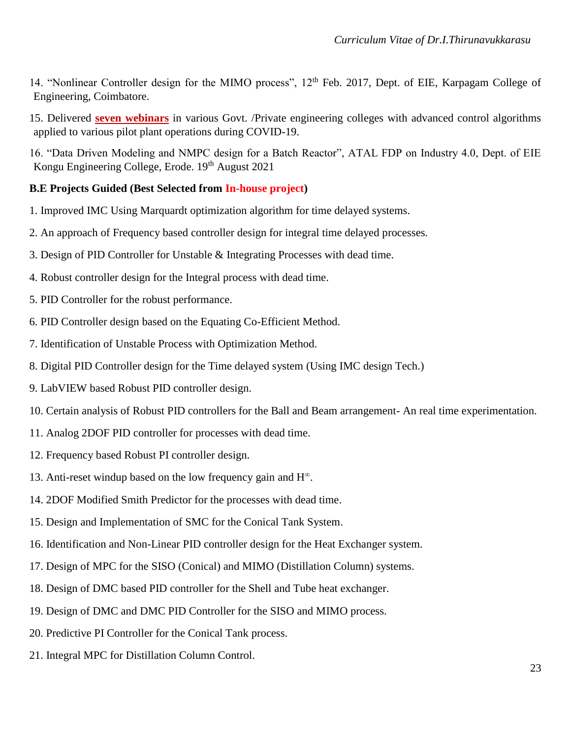- 14. "Nonlinear Controller design for the MIMO process", 12<sup>th</sup> Feb. 2017, Dept. of EIE, Karpagam College of Engineering, Coimbatore.
- 15. Delivered **seven webinars** in various Govt. /Private engineering colleges with advanced control algorithms applied to various pilot plant operations during COVID-19.
- 16. "Data Driven Modeling and NMPC design for a Batch Reactor", ATAL FDP on Industry 4.0, Dept. of EIE Kongu Engineering College, Erode. 19<sup>th</sup> August 2021

### **B.E Projects Guided (Best Selected from In-house project)**

- 1. Improved IMC Using Marquardt optimization algorithm for time delayed systems.
- 2. An approach of Frequency based controller design for integral time delayed processes.
- 3. Design of PID Controller for Unstable & Integrating Processes with dead time.
- 4. Robust controller design for the Integral process with dead time.
- 5. PID Controller for the robust performance.
- 6. PID Controller design based on the Equating Co-Efficient Method.
- 7. Identification of Unstable Process with Optimization Method.
- 8. Digital PID Controller design for the Time delayed system (Using IMC design Tech.)
- 9. LabVIEW based Robust PID controller design.
- 10. Certain analysis of Robust PID controllers for the Ball and Beam arrangement- An real time experimentation.
- 11. Analog 2DOF PID controller for processes with dead time.
- 12. Frequency based Robust PI controller design.
- 13. Anti-reset windup based on the low frequency gain and H<sup>∞</sup> .
- 14. 2DOF Modified Smith Predictor for the processes with dead time.
- 15. Design and Implementation of SMC for the Conical Tank System.
- 16. Identification and Non-Linear PID controller design for the Heat Exchanger system.
- 17. Design of MPC for the SISO (Conical) and MIMO (Distillation Column) systems.
- 18. Design of DMC based PID controller for the Shell and Tube heat exchanger.
- 19. Design of DMC and DMC PID Controller for the SISO and MIMO process.
- 20. Predictive PI Controller for the Conical Tank process.
- 21. Integral MPC for Distillation Column Control.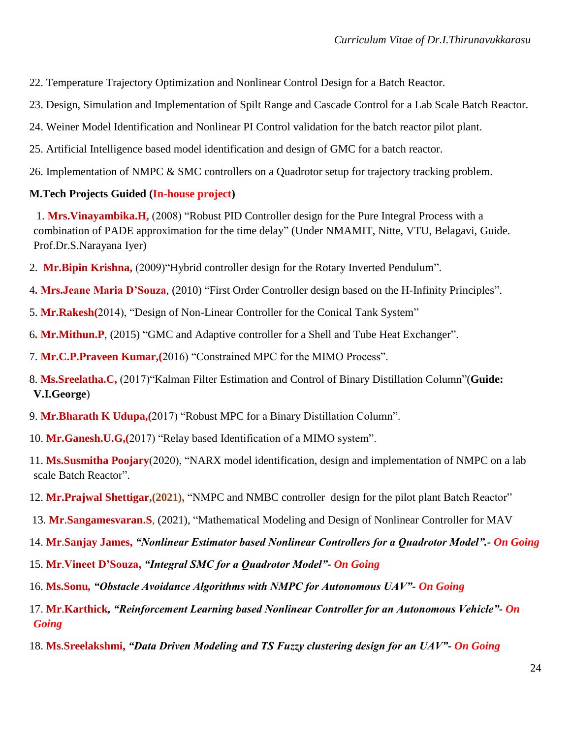22. Temperature Trajectory Optimization and Nonlinear Control Design for a Batch Reactor.

23. Design, Simulation and Implementation of Spilt Range and Cascade Control for a Lab Scale Batch Reactor.

24. Weiner Model Identification and Nonlinear PI Control validation for the batch reactor pilot plant.

25. Artificial Intelligence based model identification and design of GMC for a batch reactor.

26. Implementation of NMPC & SMC controllers on a Quadrotor setup for trajectory tracking problem.

## **M.Tech Projects Guided (In-house project)**

1. **Mrs.Vinayambika.H,** (2008) "Robust PID Controller design for the Pure Integral Process with a combination of PADE approximation for the time delay" (Under NMAMIT, Nitte, VTU, Belagavi, Guide. Prof.Dr.S.Narayana Iyer)

- 2. **Mr.Bipin Krishna,** (2009)"Hybrid controller design for the Rotary Inverted Pendulum".
- 4**. Mrs.Jeane Maria D'Souza**, (2010) "First Order Controller design based on the H-Infinity Principles".
- 5. **Mr.Rakesh(**2014), "Design of Non-Linear Controller for the Conical Tank System"
- 6**. Mr.Mithun.P**, (2015) "GMC and Adaptive controller for a Shell and Tube Heat Exchanger".
- 7. **Mr.C.P.Praveen Kumar,(**2016) "Constrained MPC for the MIMO Process".
- 8. **Ms.Sreelatha.C,** (2017)"Kalman Filter Estimation and Control of Binary Distillation Column"(**Guide: V.I.George**)
- 9. **Mr.Bharath K Udupa,(**2017) "Robust MPC for a Binary Distillation Column".
- 10. **Mr.Ganesh.U.G,(**2017) "Relay based Identification of a MIMO system".

11. **Ms.Susmitha Poojary**(2020), "NARX model identification, design and implementation of NMPC on a lab scale Batch Reactor".

- 12. **Mr.Prajwal Shettigar,(2021),** "NMPC and NMBC controller design for the pilot plant Batch Reactor"
- 13. **Mr**.**Sangamesvaran.S**, (2021), "Mathematical Modeling and Design of Nonlinear Controller for MAV
- 14. **Mr**.**Sanjay James,** *"Nonlinear Estimator based Nonlinear Controllers for a Quadrotor Model".- On Going*
- 15. **Mr**.**Vineet D'Souza,** *"Integral SMC for a Quadrotor Model"- On Going*
- 16. **Ms.Sonu***, "Obstacle Avoidance Algorithms with NMPC for Autonomous UAV"- On Going*
- 17. **Mr**.**Karthick***, "Reinforcement Learning based Nonlinear Controller for an Autonomous Vehicle"- On Going*
- 18. **Ms**.**Sreelakshmi,** *"Data Driven Modeling and TS Fuzzy clustering design for an UAV"- On Going*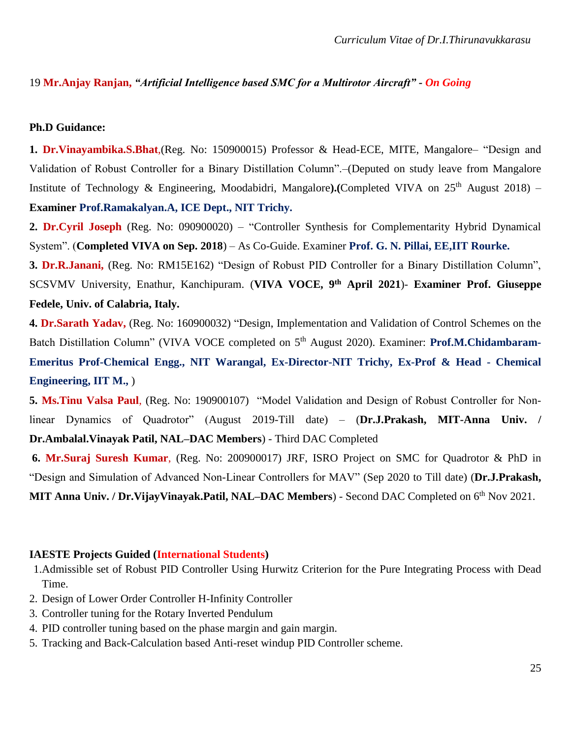#### 19 **Mr.Anjay Ranjan,** *"Artificial Intelligence based SMC for a Multirotor Aircraft" - On Going*

#### **Ph.D Guidance:**

**1. Dr.Vinayambika.S.Bhat**,(Reg. No: 150900015) Professor & Head-ECE, MITE, Mangalore– "Design and Validation of Robust Controller for a Binary Distillation Column".–(Deputed on study leave from Mangalore Institute of Technology & Engineering, Moodabidri, Mangalore).(Completed VIVA on 25<sup>th</sup> August 2018) – **Examiner Prof.Ramakalyan.A, ICE Dept., NIT Trichy.** 

**2. Dr.Cyril Joseph** (Reg. No: 090900020) – "Controller Synthesis for Complementarity Hybrid Dynamical System". (**Completed VIVA on Sep. 2018**) – As Co-Guide. Examiner **Prof. G. N. Pillai, EE,IIT Rourke.**

**3. Dr.R.Janani,** (Reg. No: RM15E162) "Design of Robust PID Controller for a Binary Distillation Column", SCSVMV University, Enathur, Kanchipuram. (**VIVA VOCE, 9th April 2021**)- **Examiner Prof. Giuseppe Fedele, Univ. of Calabria, Italy.** 

**4. Dr.Sarath Yadav,** (Reg. No: 160900032) "Design, Implementation and Validation of Control Schemes on the Batch Distillation Column" (VIVA VOCE completed on 5<sup>th</sup> August 2020). Examiner: **Prof.M.Chidambaram-Emeritus Prof-Chemical Engg., NIT Warangal, Ex-Director-NIT Trichy, Ex-Prof & Head - Chemical Engineering, IIT M.,** )

**5. Ms.Tinu Valsa Paul**, (Reg. No: 190900107) "Model Validation and Design of Robust Controller for Nonlinear Dynamics of Quadrotor" (August 2019-Till date) – (**Dr.J.Prakash, MIT-Anna Univ. / Dr.Ambalal.Vinayak Patil, NAL–DAC Members**) - Third DAC Completed

**6. Mr.Suraj Suresh Kumar**, (Reg. No: 200900017) JRF, ISRO Project on SMC for Quadrotor & PhD in "Design and Simulation of Advanced Non-Linear Controllers for MAV" (Sep 2020 to Till date) (**Dr.J.Prakash,** 

MIT Anna Univ. / Dr. Vijay Vinayak. Patil, NAL–DAC Members) - Second DAC Completed on 6<sup>th</sup> Nov 2021.

#### **IAESTE Projects Guided (International Students)**

- 1.Admissible set of Robust PID Controller Using Hurwitz Criterion for the Pure Integrating Process with Dead Time.
- 2. Design of Lower Order Controller H-Infinity Controller
- 3. Controller tuning for the Rotary Inverted Pendulum
- 4. PID controller tuning based on the phase margin and gain margin.
- 5. Tracking and Back-Calculation based Anti-reset windup PID Controller scheme.